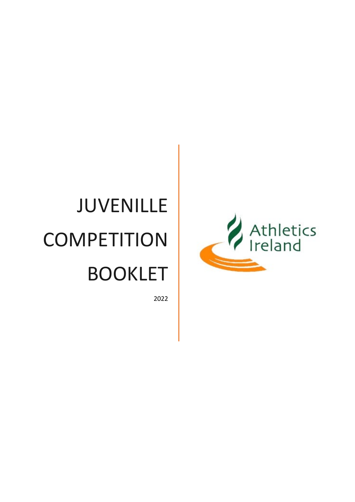# JUVENILLE **COMPETITION** BOOKLET

2022

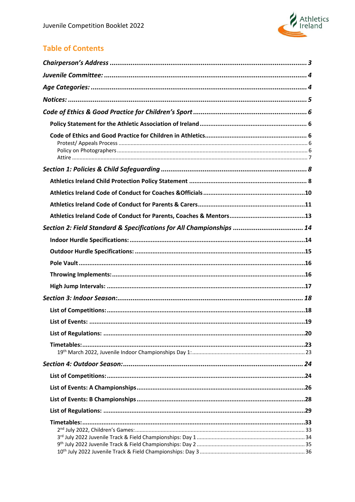

## **Table of Contents**

| Section 2: Field Standard & Specifications for All Championships  14 |
|----------------------------------------------------------------------|
|                                                                      |
|                                                                      |
|                                                                      |
|                                                                      |
|                                                                      |
|                                                                      |
|                                                                      |
|                                                                      |
|                                                                      |
|                                                                      |
|                                                                      |
|                                                                      |
|                                                                      |
|                                                                      |
|                                                                      |
|                                                                      |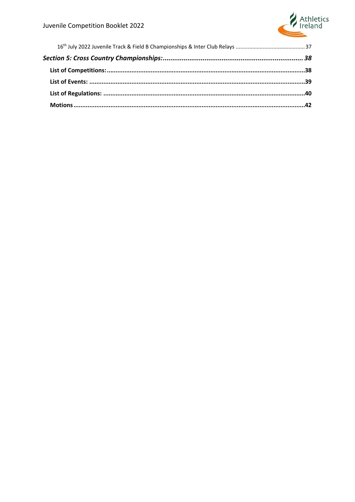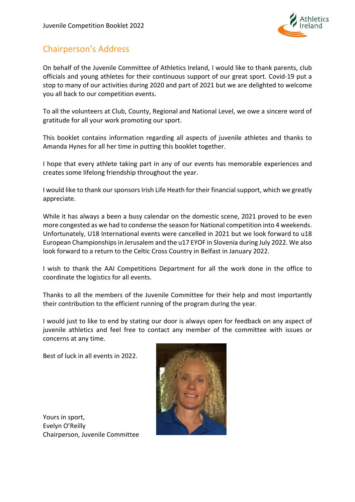

## <span id="page-3-0"></span>Chairperson's Address

On behalf of the Juvenile Committee of Athletics Ireland, I would like to thank parents, club officials and young athletes for their continuous support of our great sport. Covid-19 put a stop to many of our activities during 2020 and part of 2021 but we are delighted to welcome you all back to our competition events.

To all the volunteers at Club, County, Regional and National Level, we owe a sincere word of gratitude for all your work promoting our sport.

This booklet contains information regarding all aspects of juvenile athletes and thanks to Amanda Hynes for all her time in putting this booklet together.

I hope that every athlete taking part in any of our events has memorable experiences and creates some lifelong friendship throughout the year.

I would like to thank our sponsors Irish Life Heath for their financial support, which we greatly appreciate.

While it has always a been a busy calendar on the domestic scene, 2021 proved to be even more congested as we had to condense the season for National competition into 4 weekends. Unfortunately, U18 International events were cancelled in 2021 but we look forward to u18 European Championships in Jerusalem and the u17 EYOF in Slovenia during July 2022. We also look forward to a return to the Celtic Cross Country in Belfast in January 2022.

I wish to thank the AAI Competitions Department for all the work done in the office to coordinate the logistics for all events.

Thanks to all the members of the Juvenile Committee for their help and most importantly their contribution to the efficient running of the program during the year.

I would just to like to end by stating our door is always open for feedback on any aspect of juvenile athletics and feel free to contact any member of the committee with issues or concerns at any time.

Best of luck in all events in 2022.



Yours in sport, Evelyn O'Reilly Chairperson, Juvenile Committee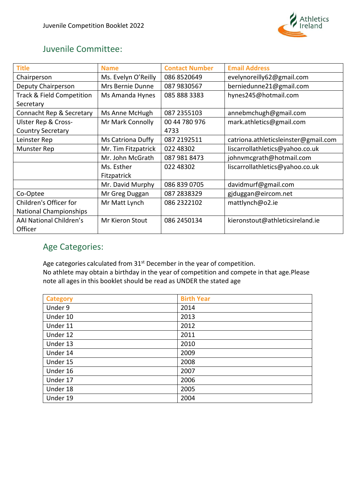

## <span id="page-4-0"></span>Juvenile Committee:

| <b>Title</b>                   | <b>Name</b>         | <b>Contact Number</b> | <b>Email Address</b>                 |
|--------------------------------|---------------------|-----------------------|--------------------------------------|
| Chairperson                    | Ms. Evelyn O'Reilly | 086 8520649           | evelynoreilly62@gmail.com            |
| Deputy Chairperson             | Mrs Bernie Dunne    | 087 9830567           | berniedunne21@gmail.com              |
| Track & Field Competition      | Ms Amanda Hynes     | 085 888 3383          | hynes245@hotmail.com                 |
| Secretary                      |                     |                       |                                      |
| Connacht Rep & Secretary       | Ms Anne McHugh      | 087 2355103           | annebmchugh@gmail.com                |
| <b>Ulster Rep &amp; Cross-</b> | Mr Mark Connolly    | 00 44 780 976         | mark.athletics@gmail.com             |
| Country Secretary              |                     | 4733                  |                                      |
| Leinster Rep                   | Ms Catriona Duffy   | 087 2192511           | catriona.athleticsleinster@gmail.com |
| Munster Rep                    | Mr. Tim Fitzpatrick | 022 48302             | liscarrollathletics@yahoo.co.uk      |
|                                | Mr. John McGrath    | 087 981 8473          | johnvmcgrath@hotmail.com             |
|                                | Ms. Esther          | 022 48302             | liscarrollathletics@yahoo.co.uk      |
|                                | Fitzpatrick         |                       |                                      |
|                                | Mr. David Murphy    | 086 839 0705          | davidmurf@gmail.com                  |
| Co-Optee                       | Mr Greg Duggan      | 087 2838329           | gjduggan@eircom.net                  |
| Children's Officer for         | Mr Matt Lynch       | 086 2322102           | mattlynch@o2.ie                      |
| <b>National Championships</b>  |                     |                       |                                      |
| <b>AAI National Children's</b> | Mr Kieron Stout     | 086 2450134           | kieronstout@athleticsireland.ie      |
| Officer                        |                     |                       |                                      |

## <span id="page-4-1"></span>Age Categories:

Age categories calculated from 31<sup>st</sup> December in the year of competition. No athlete may obtain a birthday in the year of competition and compete in that age.Please note all ages in this booklet should be read as UNDER the stated age

| <b>Category</b> | <b>Birth Year</b> |
|-----------------|-------------------|
| Under 9         | 2014              |
| Under 10        | 2013              |
| Under 11        | 2012              |
| Under 12        | 2011              |
| Under 13        | 2010              |
| Under 14        | 2009              |
| Under 15        | 2008              |
| Under 16        | 2007              |
| Under 17        | 2006              |
| Under 18        | 2005              |
| Under 19        | 2004              |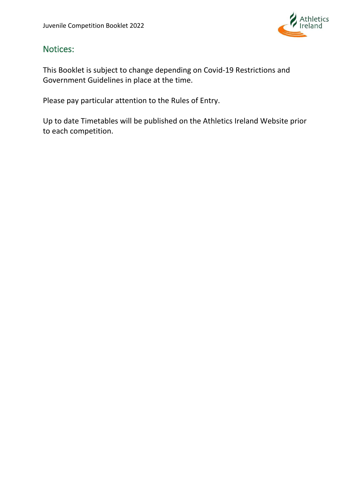

## <span id="page-5-0"></span>Notices:

This Booklet is subject to change depending on Covid-19 Restrictions and Government Guidelines in place at the time.

Please pay particular attention to the Rules of Entry.

Up to date Timetables will be published on the Athletics Ireland Website prior to each competition.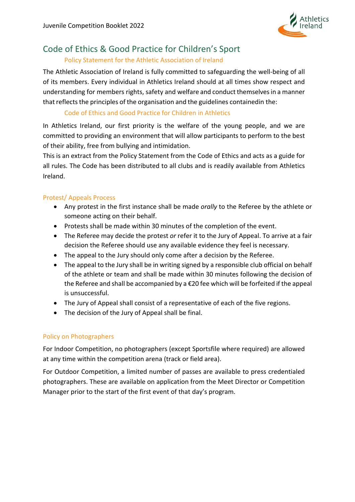

# <span id="page-6-1"></span><span id="page-6-0"></span>Code of Ethics & Good Practice for Children's Sport

#### Policy Statement for the Athletic Association of Ireland

The Athletic Association of Ireland is fully committed to safeguarding the well-being of all of its members. Every individual in Athletics Ireland should at all times show respect and understanding for members rights, safety and welfare and conduct themselves in a manner that reflects the principles of the organisation and the guidelines containedin the:

#### Code of Ethics and Good Practice for Children in Athletics

<span id="page-6-2"></span>In Athletics Ireland, our first priority is the welfare of the young people, and we are committed to providing an environment that will allow participants to perform to the best of their ability, free from bullying and intimidation.

This is an extract from the Policy Statement from the Code of Ethics and acts as a guide for all rules. The Code has been distributed to all clubs and is readily available from Athletics Ireland.

#### <span id="page-6-3"></span>Protest/ Appeals Process

- Any protest in the first instance shall be made *orally* to the Referee by the athlete or someone acting on their behalf.
- Protests shall be made within 30 minutes of the completion of the event.
- The Referee may decide the protest *or* refer it to the Jury of Appeal. To arrive at a fair decision the Referee should use any available evidence they feel is necessary.
- The appeal to the Jury should only come after a decision by the Referee.
- The appeal to the Jury shall be in writing signed by a responsible club official on behalf of the athlete or team and shall be made within 30 minutes following the decision of the Referee and shall be accompanied by a €20 fee which will be forfeited if the appeal is unsuccessful.
- The Jury of Appeal shall consist of a representative of each of the five regions.
- The decision of the Jury of Appeal shall be final.

#### <span id="page-6-4"></span>Policy on Photographers

For Indoor Competition, no photographers (except Sportsfile where required) are allowed at any time within the competition arena (track or field area).

For Outdoor Competition, a limited number of passes are available to press credentialed photographers. These are available on application from the Meet Director or Competition Manager prior to the start of the first event of that day's program.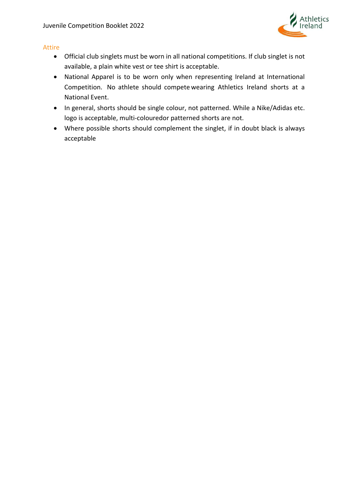

#### <span id="page-7-0"></span>Attire

- Official club singlets must be worn in all national competitions. If club singlet is not available, a plain white vest or tee shirt is acceptable.
- National Apparel is to be worn only when representing Ireland at International Competition. No athlete should compete wearing Athletics Ireland shorts at a National Event.
- In general, shorts should be single colour, not patterned. While a Nike/Adidas etc. logo is acceptable, multi-colouredor patterned shorts are not.
- Where possible shorts should complement the singlet, if in doubt black is always acceptable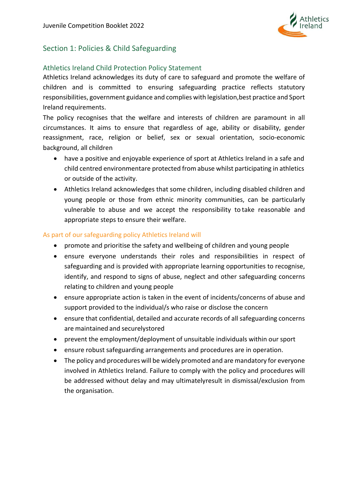

## <span id="page-8-0"></span>Section 1: Policies & Child Safeguarding

#### <span id="page-8-1"></span>Athletics Ireland Child Protection Policy Statement

Athletics Ireland acknowledges its duty of care to safeguard and promote the welfare of children and is committed to ensuring safeguarding practice reflects statutory responsibilities, government guidance and complies with legislation,best practice and Sport Ireland requirements.

The policy recognises that the welfare and interests of children are paramount in all circumstances. It aims to ensure that regardless of age, ability or disability, gender reassignment, race, religion or belief, sex or sexual orientation, socio-economic background, all children

- have a positive and enjoyable experience of sport at Athletics Ireland in a safe and child centred environmentare protected from abuse whilst participating in athletics or outside of the activity.
- Athletics Ireland acknowledges that some children, including disabled children and young people or those from ethnic minority communities, can be particularly vulnerable to abuse and we accept the responsibility to take reasonable and appropriate steps to ensure their welfare.

#### As part of our safeguarding policy Athletics Ireland will

- promote and prioritise the safety and wellbeing of children and young people
- ensure everyone understands their roles and responsibilities in respect of safeguarding and is provided with appropriate learning opportunities to recognise, identify, and respond to signs of abuse, neglect and other safeguarding concerns relating to children and young people
- ensure appropriate action is taken in the event of incidents/concerns of abuse and support provided to the individual/s who raise or disclose the concern
- ensure that confidential, detailed and accurate records of all safeguarding concerns are maintained and securelystored
- prevent the employment/deployment of unsuitable individuals within our sport
- ensure robust safeguarding arrangements and procedures are in operation.
- The policy and procedures will be widely promoted and are mandatory for everyone involved in Athletics Ireland. Failure to comply with the policy and procedures will be addressed without delay and may ultimatelyresult in dismissal/exclusion from the organisation.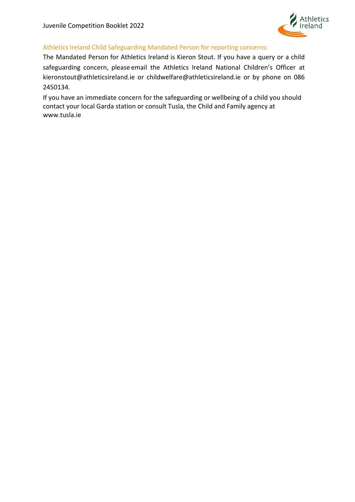

#### Athletics Ireland Child Safeguarding Mandated Person for reporting concerns:

The Mandated Person for Athletics Ireland is Kieron Stout. If you have a query or a child safeguarding concern, please email the Athletics Ireland National Children's Officer at [kieronstout@athleticsireland.ie](mailto:kieronstout@athleticsireland.ie) or [childwelfare@athleticsireland.ie o](mailto:childwelfare@athleticsireland.ie)r by phone on 086 2450134.

If you have an immediate concern for the safeguarding or wellbeing of a child you should contact your local Garda station or consult Tusla, the Child and Family agency at [www.tusla.ie](http://www.tusla.ie/)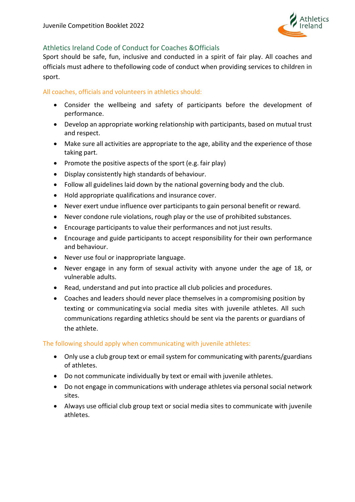

#### <span id="page-10-0"></span>Athletics Ireland Code of Conduct for Coaches &Officials

Sport should be safe, fun, inclusive and conducted in a spirit of fair play. All coaches and officials must adhere to thefollowing code of conduct when providing services to children in sport.

#### All coaches, officials and volunteers in athletics should:

- Consider the wellbeing and safety of participants before the development of performance.
- Develop an appropriate working relationship with participants, based on mutual trust and respect.
- Make sure all activities are appropriate to the age, ability and the experience of those taking part.
- Promote the positive aspects of the sport (e.g. fair play)
- Display consistently high standards of behaviour.
- Follow all guidelines laid down by the national governing body and the club.
- Hold appropriate qualifications and insurance cover.
- Never exert undue influence over participants to gain personal benefit or reward.
- Never condone rule violations, rough play or the use of prohibited substances.
- Encourage participants to value their performances and not just results.
- Encourage and guide participants to accept responsibility for their own performance and behaviour.
- Never use foul or inappropriate language.
- Never engage in any form of sexual activity with anyone under the age of 18, or vulnerable adults.
- Read, understand and put into practice all club policies and procedures.
- Coaches and leaders should never place themselves in a compromising position by texting or communicatingvia social media sites with juvenile athletes. All such communications regarding athletics should be sent via the parents or guardians of the athlete.

#### The following should apply when communicating with juvenile athletes:

- Only use a club group text or email system for communicating with parents/guardians of athletes.
- Do not communicate individually by text or email with juvenile athletes.
- Do not engage in communications with underage athletes via personal social network sites.
- Always use official club group text or social media sites to communicate with juvenile athletes.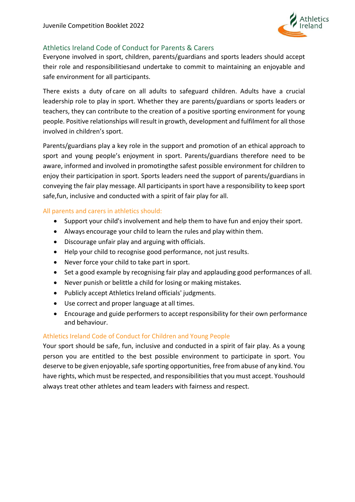

#### <span id="page-11-0"></span>Athletics Ireland Code of Conduct for Parents & Carers

Everyone involved in sport, children, parents/guardians and sports leaders should accept their role and responsibilitiesand undertake to commit to maintaining an enjoyable and safe environment for all participants.

There exists a duty of care on all adults to safeguard children. Adults have a crucial leadership role to play in sport. Whether they are parents/guardians or sports leaders or teachers, they can contribute to the creation of a positive sporting environment for young people. Positive relationships will result in growth, development and fulfilment for all those involved in children's sport.

Parents/guardians play a key role in the support and promotion of an ethical approach to sport and young people's enjoyment in sport. Parents/guardians therefore need to be aware, informed and involved in promotingthe safest possible environment for children to enjoy their participation in sport. Sports leaders need the support of parents/guardians in conveying the fair play message. All participants in sport have a responsibility to keep sport safe,fun, inclusive and conducted with a spirit of fair play for all.

#### All parents and carers in athletics should:

- Support your child's involvement and help them to have fun and enjoy their sport.
- Always encourage your child to learn the rules and play within them.
- Discourage unfair play and arguing with officials.
- Help your child to recognise good performance, not just results.
- Never force your child to take part in sport.
- Set a good example by recognising fair play and applauding good performances of all.
- Never punish or belittle a child for losing or making mistakes.
- Publicly accept Athletics Ireland officials' judgments.
- Use correct and proper language at all times.
- Encourage and guide performers to accept responsibility for their own performance and behaviour.

#### Athletics Ireland Code of Conduct for Children and Young People

Your sport should be safe, fun, inclusive and conducted in a spirit of fair play. As a young person you are entitled to the best possible environment to participate in sport. You deserve to be given enjoyable, safe sporting opportunities, free from abuse of any kind. You have rights, which must be respected, and responsibilities that you must accept. Youshould always treat other athletes and team leaders with fairness and respect.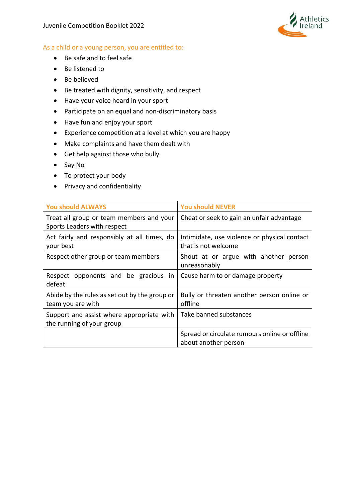

#### As a child or a young person, you are entitled to:

- Be safe and to feel safe
- Be listened to
- Be believed
- Be treated with dignity, sensitivity, and respect
- Have your voice heard in your sport
- Participate on an equal and non-discriminatory basis
- Have fun and enjoy your sport
- Experience competition at a level at which you are happy
- Make complaints and have them dealt with
- Get help against those who bully
- Say No
- To protect your body
- Privacy and confidentiality

| <b>You should ALWAYS</b>                                                | <b>You should NEVER</b>                                               |
|-------------------------------------------------------------------------|-----------------------------------------------------------------------|
| Treat all group or team members and your<br>Sports Leaders with respect | Cheat or seek to gain an unfair advantage                             |
| Act fairly and responsibly at all times, do<br>your best                | Intimidate, use violence or physical contact<br>that is not welcome   |
| Respect other group or team members                                     | Shout at or argue with another person<br>unreasonably                 |
| Respect opponents and be gracious in<br>defeat                          | Cause harm to or damage property                                      |
| Abide by the rules as set out by the group or<br>team you are with      | Bully or threaten another person online or<br>offline                 |
| Support and assist where appropriate with<br>the running of your group  | Take banned substances                                                |
|                                                                         | Spread or circulate rumours online or offline<br>about another person |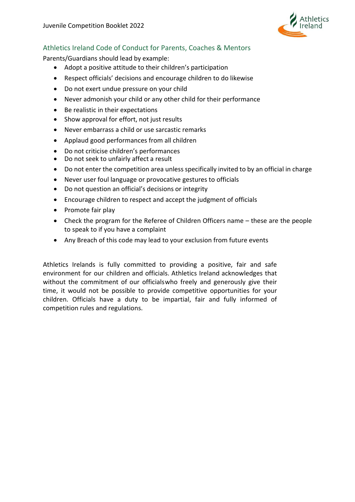

### <span id="page-13-0"></span>Athletics Ireland Code of Conduct for Parents, Coaches & Mentors

Parents/Guardians should lead by example:

- Adopt a positive attitude to their children's participation
- Respect officials' decisions and encourage children to do likewise
- Do not exert undue pressure on your child
- Never admonish your child or any other child for their performance
- Be realistic in their expectations
- Show approval for effort, not just results
- Never embarrass a child or use sarcastic remarks
- Applaud good performances from all children
- Do not criticise children's performances
- Do not seek to unfairly affect a result
- Do not enter the competition area unless specifically invited to by an official in charge
- Never user foul language or provocative gestures to officials
- Do not question an official's decisions or integrity
- Encourage children to respect and accept the judgment of officials
- Promote fair play
- Check the program for the Referee of Children Officers name these are the people to speak to if you have a complaint
- Any Breach of this code may lead to your exclusion from future events

Athletics Irelands is fully committed to providing a positive, fair and safe environment for our children and officials. Athletics Ireland acknowledges that without the commitment of our officialswho freely and generously give their time, it would not be possible to provide competitive opportunities for your children. Officials have a duty to be impartial, fair and fully informed of competition rules and regulations.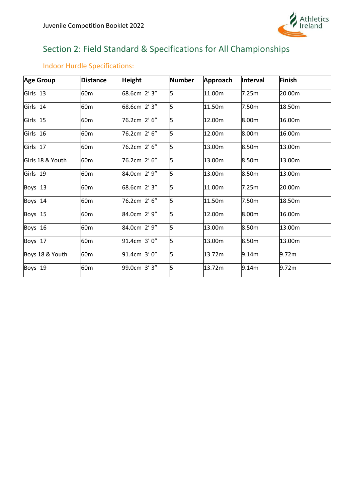

# <span id="page-14-0"></span>Section 2: Field Standard & Specifications for All Championships

| <b>Age Group</b> | <b>Distance</b> | <b>Height</b> | <b>Number</b> | Approach | Interval | Finish |
|------------------|-----------------|---------------|---------------|----------|----------|--------|
| Girls 13         | 60 <sub>m</sub> | 68.6cm 2'3"   | 5             | 11.00m   | 7.25m    | 20.00m |
| Girls 14         | 60 <sub>m</sub> | 68.6cm 2' 3"  | 5             | 11.50m   | 7.50m    | 18.50m |
| Girls 15         | 60 <sub>m</sub> | 76.2cm 2' 6"  | 5             | 12.00m   | 8.00m    | 16.00m |
| Girls 16         | 60 <sub>m</sub> | 76.2cm 2'6"   | 5             | 12.00m   | 8.00m    | 16.00m |
| Girls 17         | 60 <sub>m</sub> | 76.2cm 2'6"   | 5             | 13.00m   | 8.50m    | 13.00m |
| Girls 18 & Youth | 60 <sub>m</sub> | 76.2cm 2'6"   | 5             | 13.00m   | 8.50m    | 13.00m |
| Girls 19         | 60 <sub>m</sub> | 84.0cm 2' 9"  | 5             | 13.00m   | 8.50m    | 13.00m |
| Boys 13          | 60 <sub>m</sub> | 68.6cm 2' 3"  | 5             | 11.00m   | 7.25m    | 20.00m |
| Boys 14          | 60 <sub>m</sub> | 76.2cm 2' 6"  | 5             | 11.50m   | 7.50m    | 18.50m |
| Boys 15          | 60 <sub>m</sub> | 84.0cm 2' 9"  | 5             | 12.00m   | 8.00m    | 16.00m |
| Boys 16          | 60 <sub>m</sub> | 84.0cm 2' 9"  | 5             | 13.00m   | 8.50m    | 13.00m |
| Boys 17          | 60 <sub>m</sub> | 91.4cm 3' 0"  | 5             | 13.00m   | 8.50m    | 13.00m |
| Boys 18 & Youth  | 60 <sub>m</sub> | 91.4cm 3' 0"  | 5             | 13.72m   | 9.14m    | 9.72m  |
| Boys 19          | 60 <sub>m</sub> | 99.0cm 3'3"   | 5             | 13.72m   | 9.14m    | 9.72m  |

## <span id="page-14-1"></span>Indoor Hurdle Specifications: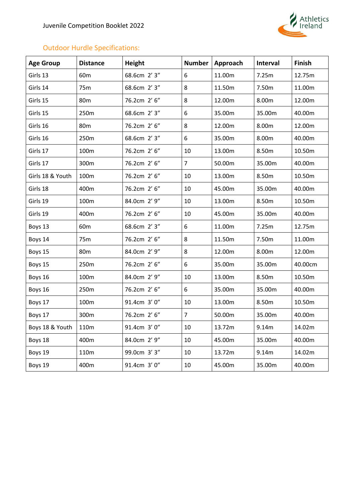

## <span id="page-15-0"></span>Outdoor Hurdle Specifications:

| <b>Age Group</b> | <b>Distance</b> | <b>Height</b> | <b>Number</b>  | Approach | <b>Interval</b> | <b>Finish</b> |
|------------------|-----------------|---------------|----------------|----------|-----------------|---------------|
| Girls 13         | 60 <sub>m</sub> | 68.6cm 2' 3"  | 6              | 11.00m   | 7.25m           | 12.75m        |
| Girls 14         | 75m             | 68.6cm 2' 3"  | 8              | 11.50m   | 7.50m           | 11.00m        |
| Girls 15         | 80 <sub>m</sub> | 76.2cm 2' 6"  | 8              | 12.00m   | 8.00m           | 12.00m        |
| Girls 15         | 250m            | 68.6cm 2' 3"  | 6              | 35.00m   | 35.00m          | 40.00m        |
| Girls 16         | 80 <sub>m</sub> | 76.2cm 2' 6"  | 8              | 12.00m   | 8.00m           | 12.00m        |
| Girls 16         | 250m            | 68.6cm 2' 3"  | 6              | 35.00m   | 8.00m           | 40.00m        |
| Girls 17         | 100m            | 76.2cm 2' 6"  | 10             | 13.00m   | 8.50m           | 10.50m        |
| Girls 17         | 300m            | 76.2cm 2' 6"  | $\overline{7}$ | 50.00m   | 35.00m          | 40.00m        |
| Girls 18 & Youth | 100m            | 76.2cm 2' 6"  | 10             | 13.00m   | 8.50m           | 10.50m        |
| Girls 18         | 400m            | 76.2cm 2' 6"  | 10             | 45.00m   | 35.00m          | 40.00m        |
| Girls 19         | 100m            | 84.0cm 2' 9"  | 10             | 13.00m   | 8.50m           | 10.50m        |
| Girls 19         | 400m            | 76.2cm 2' 6"  | 10             | 45.00m   | 35.00m          | 40.00m        |
| Boys 13          | 60 <sub>m</sub> | 68.6cm 2' 3"  | 6              | 11.00m   | 7.25m           | 12.75m        |
| Boys 14          | 75m             | 76.2cm 2' 6"  | 8              | 11.50m   | 7.50m           | 11.00m        |
| Boys 15          | 80 <sub>m</sub> | 84.0cm 2' 9"  | 8              | 12.00m   | 8.00m           | 12.00m        |
| Boys 15          | 250m            | 76.2cm 2' 6"  | 6              | 35.00m   | 35.00m          | 40.00cm       |
| Boys 16          | 100m            | 84.0cm 2' 9"  | 10             | 13.00m   | 8.50m           | 10.50m        |
| Boys 16          | 250m            | 76.2cm 2' 6"  | 6              | 35.00m   | 35.00m          | 40.00m        |
| Boys 17          | 100m            | 91.4cm 3' 0"  | 10             | 13.00m   | 8.50m           | 10.50m        |
| Boys 17          | 300m            | 76.2cm 2' 6"  | $\overline{7}$ | 50.00m   | 35.00m          | 40.00m        |
| Boys 18 & Youth  | 110m            | 91.4cm 3' 0"  | 10             | 13.72m   | 9.14m           | 14.02m        |
| Boys 18          | 400m            | 84.0cm 2' 9"  | 10             | 45.00m   | 35.00m          | 40.00m        |
| Boys 19          | 110m            | 99.0cm 3' 3"  | 10             | 13.72m   | 9.14m           | 14.02m        |
| Boys 19          | 400m            | 91.4cm 3' 0"  | 10             | 45.00m   | 35.00m          | 40.00m        |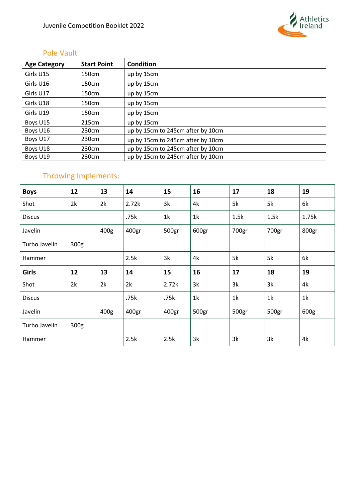

## <span id="page-16-0"></span>Pole Vault

| <b>Age Category</b> | <b>Start Point</b> | Condition                         |
|---------------------|--------------------|-----------------------------------|
| Girls U15           | 150cm              | up by 15cm                        |
| Girls U16           | 150cm              | up by 15cm                        |
| Girls U17           | 150cm              | up by 15cm                        |
| Girls U18           | 150cm              | up by 15cm                        |
| Girls U19           | 150cm              | up by 15cm                        |
| Boys U15            | 215cm              | up by 15cm                        |
| Boys U16            | 230cm              | up by 15cm to 245cm after by 10cm |
| Boys U17            | 230cm              | up by 15cm to 245cm after by 10cm |
| Boys U18            | 230cm              | up by 15cm to 245cm after by 10cm |
| Boys U19            | 230cm              | up by 15cm to 245cm after by 10cm |

# <span id="page-16-1"></span>Throwing Implements:

| <b>Boys</b>   | 12   | 13               | 14    | 15    | 16             | 17             | 18    | 19    |
|---------------|------|------------------|-------|-------|----------------|----------------|-------|-------|
| Shot          | 2k   | 2k               | 2.72k | 3k    | 4k             | 5k             | 5k    | 6k    |
| <b>Discus</b> |      |                  | .75k  | 1k    | 1k             | 1.5k           | 1.5k  | 1.75k |
| Javelin       |      | 400g             | 400gr | 500gr | 600gr          | 700gr          | 700gr | 800gr |
| Turbo Javelin | 300g |                  |       |       |                |                |       |       |
| Hammer        |      |                  | 2.5k  | 3k    | 4k             | 5k             | 5k    | 6k    |
| <b>Girls</b>  | 12   | 13               | 14    | 15    | 16             | 17             | 18    | 19    |
| Shot          | 2k   | 2k               | 2k    | 2.72k | 3k             | 3k             | 3k    | 4k    |
| <b>Discus</b> |      |                  | .75k  | .75k  | 1 <sup>k</sup> | 1 <sup>k</sup> | 1k    | 1k    |
| Javelin       |      | 400 <sub>g</sub> | 400gr | 400gr | 500gr          | 500gr          | 500gr | 600g  |
| Turbo Javelin | 300g |                  |       |       |                |                |       |       |
| Hammer        |      |                  | 2.5k  | 2.5k  | 3k             | 3k             | 3k    | 4k    |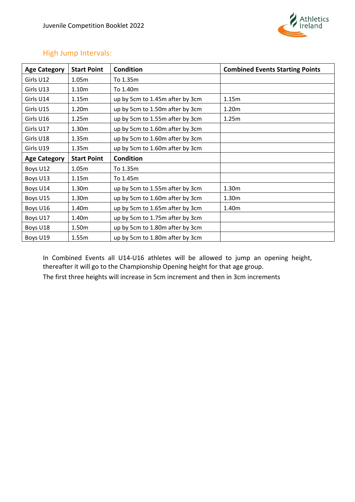

## <span id="page-17-0"></span>High Jump Intervals:

| <b>Age Category</b> | <b>Start Point</b> | <b>Condition</b>                | <b>Combined Events Starting Points</b> |
|---------------------|--------------------|---------------------------------|----------------------------------------|
| Girls U12           | 1.05 <sub>m</sub>  | To 1.35m                        |                                        |
| Girls U13           | 1.10m              | To 1.40m                        |                                        |
| Girls U14           | 1.15m              | up by 5cm to 1.45m after by 3cm | 1.15m                                  |
| Girls U15           | 1.20 <sub>m</sub>  | up by 5cm to 1.50m after by 3cm | 1.20m                                  |
| Girls U16           | 1.25m              | up by 5cm to 1.55m after by 3cm | 1.25m                                  |
| Girls U17           | 1.30 <sub>m</sub>  | up by 5cm to 1.60m after by 3cm |                                        |
| Girls U18           | 1.35m              | up by 5cm to 1.60m after by 3cm |                                        |
| Girls U19           | 1.35m              | up by 5cm to 1.60m after by 3cm |                                        |
| <b>Age Category</b> | <b>Start Point</b> | <b>Condition</b>                |                                        |
| Boys U12            | 1.05m              | To 1.35m                        |                                        |
| Boys U13            | 1.15m              | To 1.45m                        |                                        |
| Boys U14            | 1.30m              | up by 5cm to 1.55m after by 3cm | 1.30m                                  |
| Boys U15            | 1.30 <sub>m</sub>  | up by 5cm to 1.60m after by 3cm | 1.30m                                  |
| Boys U16            | 1.40m              | up by 5cm to 1.65m after by 3cm | 1.40m                                  |
| Boys U17            | 1.40m              | up by 5cm to 1.75m after by 3cm |                                        |
| Boys U18            | 1.50m              | up by 5cm to 1.80m after by 3cm |                                        |
| Boys U19            | 1.55m              | up by 5cm to 1.80m after by 3cm |                                        |

In Combined Events all U14-U16 athletes will be allowed to jump an opening height, thereafter it will go to the Championship Opening height for that age group. The first three heights will increase in 5cm increment and then in 3cm increments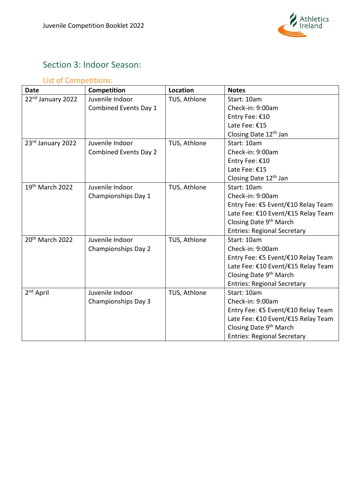

# <span id="page-18-0"></span>Section 3: Indoor Season:

## <span id="page-18-1"></span>List of Competitions:

| <b>Date</b>                   | <b>Competition</b>           | <b>Location</b> | <b>Notes</b>                       |
|-------------------------------|------------------------------|-----------------|------------------------------------|
| 22 <sup>nd</sup> January 2022 | Juvenile Indoor              | TUS, Athlone    | Start: 10am                        |
|                               | Combined Events Day 1        |                 | Check-in: 9:00am                   |
|                               |                              |                 | Entry Fee: €10                     |
|                               |                              |                 | Late Fee: €15                      |
|                               |                              |                 | Closing Date 12 <sup>th</sup> Jan  |
| 23rd January 2022             | Juvenile Indoor              | TUS, Athlone    | Start: 10am                        |
|                               | <b>Combined Events Day 2</b> |                 | Check-in: 9:00am                   |
|                               |                              |                 | Entry Fee: €10                     |
|                               |                              |                 | Late Fee: €15                      |
|                               |                              |                 | Closing Date 12 <sup>th</sup> Jan  |
| $19th$ March 2022             | Juvenile Indoor              | TUS, Athlone    | Start: 10am                        |
|                               | Championships Day 1          |                 | Check-in: 9:00am                   |
|                               |                              |                 | Entry Fee: €5 Event/€10 Relay Team |
|                               |                              |                 | Late Fee: €10 Event/€15 Relay Team |
|                               |                              |                 | Closing Date 9th March             |
|                               |                              |                 | <b>Entries: Regional Secretary</b> |
| 20 <sup>th</sup> March 2022   | Juvenile Indoor              | TUS, Athlone    | Start: 10am                        |
|                               | Championships Day 2          |                 | Check-in: 9:00am                   |
|                               |                              |                 | Entry Fee: €5 Event/€10 Relay Team |
|                               |                              |                 | Late Fee: €10 Event/€15 Relay Team |
|                               |                              |                 | Closing Date 9 <sup>th</sup> March |
|                               |                              |                 | <b>Entries: Regional Secretary</b> |
| 2 <sup>nd</sup> April         | Juvenile Indoor              | TUS, Athlone    | Start: 10am                        |
|                               | Championships Day 3          |                 | Check-in: 9:00am                   |
|                               |                              |                 | Entry Fee: €5 Event/€10 Relay Team |
|                               |                              |                 | Late Fee: €10 Event/€15 Relay Team |
|                               |                              |                 | Closing Date 9 <sup>th</sup> March |
|                               |                              |                 | <b>Entries: Regional Secretary</b> |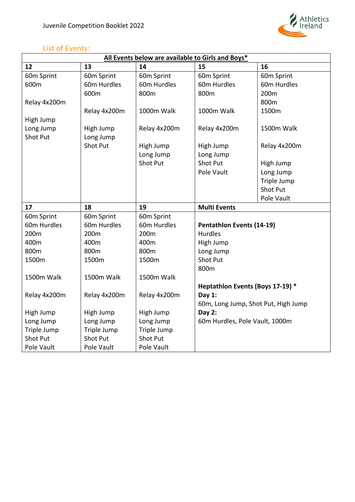

## <span id="page-19-0"></span>List of Events:

ŗ

| All Events below are available to Girls and Boys* |                               |                               |                                  |                                     |  |
|---------------------------------------------------|-------------------------------|-------------------------------|----------------------------------|-------------------------------------|--|
| 12                                                | 13                            | 14                            | 15                               | 16                                  |  |
| 60m Sprint                                        | 60m Sprint                    | 60m Sprint                    | 60m Sprint                       | 60m Sprint                          |  |
| 600m                                              | 60m Hurdles                   | 60m Hurdles                   | 60m Hurdles                      | 60m Hurdles                         |  |
|                                                   | 600m                          | 800m                          | 800m                             | 200m                                |  |
| Relay 4x200m                                      |                               |                               |                                  | 800m                                |  |
|                                                   | Relay 4x200m                  | 1000m Walk                    | 1000m Walk                       | 1500m                               |  |
| High Jump                                         |                               |                               |                                  |                                     |  |
| Long Jump                                         | High Jump                     | Relay 4x200m                  | Relay 4x200m                     | 1500m Walk                          |  |
| <b>Shot Put</b>                                   | Long Jump                     |                               |                                  |                                     |  |
|                                                   | <b>Shot Put</b>               | High Jump                     | High Jump                        | Relay 4x200m                        |  |
|                                                   |                               | Long Jump                     | Long Jump                        |                                     |  |
|                                                   |                               | <b>Shot Put</b>               | <b>Shot Put</b>                  | High Jump                           |  |
|                                                   |                               |                               | Pole Vault                       | Long Jump                           |  |
|                                                   |                               |                               |                                  | Triple Jump                         |  |
|                                                   |                               |                               |                                  | <b>Shot Put</b>                     |  |
|                                                   |                               |                               |                                  | Pole Vault                          |  |
| 17                                                | 18                            | 19                            | <b>Multi Events</b>              |                                     |  |
| 60m Sprint                                        | 60m Sprint                    | 60m Sprint                    |                                  |                                     |  |
|                                                   |                               |                               |                                  |                                     |  |
| 60m Hurdles                                       | 60m Hurdles                   | 60m Hurdles                   | <b>Pentathlon Events (14-19)</b> |                                     |  |
| 200m                                              | 200m                          | 200m                          | <b>Hurdles</b>                   |                                     |  |
| 400m                                              | 400m                          | 400m                          | High Jump                        |                                     |  |
| 800m                                              | 800m                          | 800m                          | Long Jump                        |                                     |  |
| 1500m                                             | 1500m                         | 1500m                         | <b>Shot Put</b>                  |                                     |  |
|                                                   |                               |                               | 800m                             |                                     |  |
| 1500m Walk                                        | 1500m Walk                    | 1500m Walk                    |                                  |                                     |  |
|                                                   |                               |                               | Heptathlon Events (Boys 17-19) * |                                     |  |
| Relay 4x200m                                      | Relay 4x200m                  | Relay 4x200m                  | Day $1$ :                        |                                     |  |
|                                                   |                               |                               |                                  | 60m, Long Jump, Shot Put, High Jump |  |
| High Jump                                         | High Jump                     | High Jump                     | Day 2:                           |                                     |  |
| Long Jump                                         | Long Jump                     | Long Jump                     | 60m Hurdles, Pole Vault, 1000m   |                                     |  |
| Triple Jump                                       | Triple Jump                   | Triple Jump                   |                                  |                                     |  |
| <b>Shot Put</b><br>Pole Vault                     | <b>Shot Put</b><br>Pole Vault | <b>Shot Put</b><br>Pole Vault |                                  |                                     |  |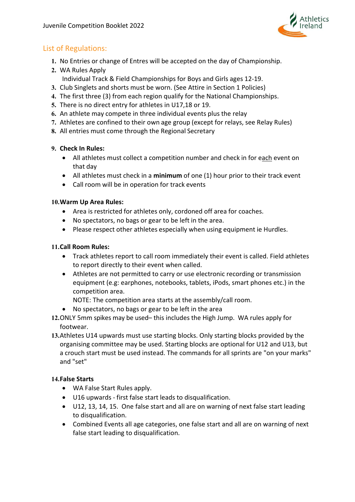

## <span id="page-20-0"></span>List of Regulations:

- **1.** No Entries or change of Entres will be accepted on the day of Championship.
- **2.** WA Rules Apply Individual Track & Field Championships for Boys and Girls ages 12-19.
- **3.** Club Singlets and shorts must be worn. (See Attire in Section 1 Policies)
- **4.** The first three (3) from each region qualify for the National Championships.
- **5.** There is no direct entry for athletes in U17,18 or 19.
- **6.** An athlete may compete in three individual events plus the relay
- **7.** Athletes are confined to their own age group (except for relays, see Relay Rules)
- **8.** All entries must come through the Regional Secretary

#### **9. Check In Rules:**

- All athletes must collect a competition number and check in for each event on that day
- All athletes must check in a **minimum** of one (1) hour prior to their track event
- Call room will be in operation for track events

#### **10.Warm Up Area Rules:**

- Area is restricted for athletes only, cordoned off area for coaches.
- No spectators, no bags or gear to be left in the area.
- Please respect other athletes especially when using equipment ie Hurdles.

#### **11.Call Room Rules:**

- Track athletes report to call room immediately their event is called. Field athletes to report directly to their event when called.
- Athletes are not permitted to carry or use electronic recording or transmission equipment (e.g: earphones, notebooks, tablets, iPods, smart phones etc.) in the competition area.

NOTE: The competition area starts at the assembly/call room.

- No spectators, no bags or gear to be left in the area
- **12.**ONLY 5mm spikes may be used– this includes the High Jump. WA rules apply for footwear.
- **13.**Athletes U14 upwards must use starting blocks. Only starting blocks provided by the organising committee may be used. Starting blocks are optional for U12 and U13, but a crouch start must be used instead. The commands for all sprints are "on your marks" and "set"

#### **14.False Starts**

- WA False Start Rules apply.
- U16 upwards first false start leads to disqualification.
- U12, 13, 14, 15. One false start and all are on warning of next false start leading to disqualification.
- Combined Events all age categories, one false start and all are on warning of next false start leading to disqualification.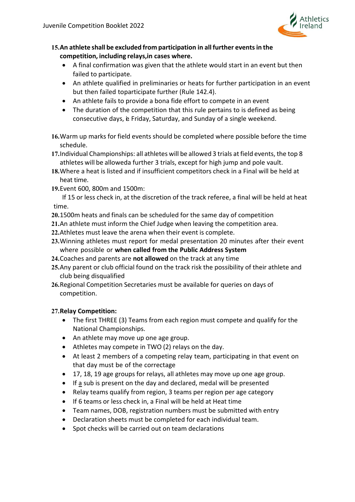

- **15.An athlete shall be excluded from participation in all further eventsin the competition, including relays,in cases where.**
	- A final confirmation was given that the athlete would start in an event but then failed to participate.
	- An athlete qualified in preliminaries or heats for further participation in an event but then failed toparticipate further (Rule 142.4).
	- An athlete fails to provide a bona fide effort to compete in an event
	- The duration of the competition that this rule pertains to is defined as being consecutive days, e Friday, Saturday, and Sunday of a single weekend.
- **16.**Warm up marks for field events should be completed where possible before the time schedule.
- **17.**Individual Championships: all athletes will be allowed 3 trials at field events, the top 8 athletes will be alloweda further 3 trials, except for high jump and pole vault.
- **18.**Where a heat is listed and if insufficient competitors check in a Final will be held at heat time.
- **19.**Event 600, 800m and 1500m:

If 15 or less check in, at the discretion of the track referee, a final will be held at heat time.

- **20.**1500m heats and finals can be scheduled for the same day of competition
- **21.**An athlete must inform the Chief Judge when leaving the competition area.
- **22.**Athletes must leave the arena when their event is complete.
- **23.**Winning athletes must report for medal presentation 20 minutes after their event where possible or **when called from the Public Address System**
- **24.**Coaches and parents are **not allowed** on the track at any time
- **25.**Any parent or club official found on the track risk the possibility of their athlete and club being disqualified
- **26.**Regional Competition Secretaries must be available for queries on days of competition.

#### **27.Relay Competition:**

- The first THREE (3) Teams from each region must compete and qualify for the National Championships.
- An athlete may move up one age group.
- Athletes may compete in TWO (2) relays on the day.
- At least 2 members of a competing relay team, participating in that event on that day must be of the correctage
- 17, 18, 19 age groups for relays, all athletes may move up one age group.
- If a sub is present on the day and declared, medal will be presented
- Relay teams qualify from region, 3 teams per region per age category
- If 6 teams or less check in, a Final will be held at Heat time
- Team names, DOB, registration numbers must be submitted with entry
- Declaration sheets must be completed for each individual team.
- Spot checks will be carried out on team declarations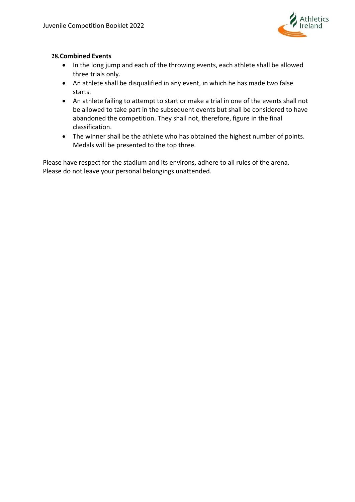

#### **28.Combined Events**

- In the long jump and each of the throwing events, each athlete shall be allowed three trials only.
- An athlete shall be disqualified in any event, in which he has made two false starts.
- An athlete failing to attempt to start or make a trial in one of the events shall not be allowed to take part in the subsequent events but shall be considered to have abandoned the competition. They shall not, therefore, figure in the final classification.
- The winner shall be the athlete who has obtained the highest number of points. Medals will be presented to the top three.

Please have respect for the stadium and its environs, adhere to all rules of the arena. Please do not leave your personal belongings unattended.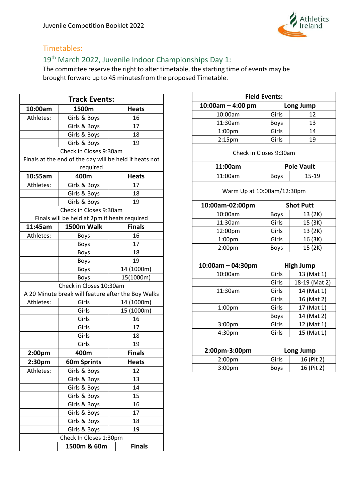

## <span id="page-23-0"></span>Timetables:

## <span id="page-23-1"></span>19th March 2022, Juvenile Indoor Championships Day 1:

| <b>Track Events:</b>    |                                                        |               |  |
|-------------------------|--------------------------------------------------------|---------------|--|
| 10:00am                 | 1500m                                                  | <b>Heats</b>  |  |
| Athletes:               | Girls & Boys                                           | 16            |  |
|                         | Girls & Boys                                           | 17            |  |
|                         | Girls & Boys                                           | 18            |  |
|                         | Girls & Boys                                           | 19            |  |
|                         | Check in Closes 9:30am                                 |               |  |
|                         | Finals at the end of the day will be held if heats not |               |  |
|                         | required                                               |               |  |
| 10:55am                 | 400m                                                   | <b>Heats</b>  |  |
| Athletes:               | Girls & Boys                                           | 17            |  |
|                         | Girls & Boys                                           | 18            |  |
|                         | Girls & Boys                                           | 19            |  |
|                         | Check in Closes 9:30am                                 |               |  |
|                         | Finals will be held at 2pm if heats required           |               |  |
| 11:45am                 | 1500m Walk                                             | <b>Finals</b> |  |
| Athletes:               | <b>Boys</b>                                            | 16            |  |
|                         | <b>Boys</b>                                            | 17            |  |
|                         | <b>Boys</b>                                            | 18            |  |
|                         | <b>Boys</b>                                            | 19            |  |
|                         | <b>Boys</b>                                            | 14 (1000m)    |  |
|                         | <b>Boys</b>                                            | 15(1000m)     |  |
| Check in Closes 10:30am |                                                        |               |  |
|                         | A 20 Minute break will feature after the Boy Walks     |               |  |
| Athletes:               | Girls                                                  | 14 (1000m)    |  |
|                         | Girls                                                  | 15 (1000m)    |  |
|                         | Girls                                                  | 16            |  |
|                         | Girls                                                  | 17            |  |
|                         | Girls                                                  | 18            |  |
|                         | Girls                                                  | 19            |  |
| 2:00pm                  | 400m                                                   | <b>Finals</b> |  |
| 2:30pm                  | <b>60m Sprints</b>                                     | <b>Heats</b>  |  |
| Athletes:               | Girls & Boys                                           | 12            |  |
|                         | Girls & Boys                                           | 13            |  |
|                         | Girls & Boys                                           | 14            |  |
|                         | Girls & Boys                                           | 15            |  |
|                         | Girls & Boys                                           | 16            |  |
|                         | Girls & Boys                                           | 17            |  |
|                         | Girls & Boys                                           | 18            |  |
|                         | Girls & Boys                                           | 19            |  |
|                         | Check In Closes 1:30pm                                 |               |  |
|                         | 1500m & 60m                                            | <b>Finals</b> |  |

| <b>Field Events:</b>       |                  |                   |  |
|----------------------------|------------------|-------------------|--|
| $10:00$ am - 4:00 pm       | Long Jump        |                   |  |
| 10:00am                    | Girls            | 12                |  |
| 11:30am                    | Boys             | 13                |  |
| 1:00pm                     | Girls            | 14                |  |
| 2:15 <sub>pm</sub>         | Girls            | 19                |  |
| Check in Closes 9:30am     |                  |                   |  |
| 11:00am                    |                  | <b>Pole Vault</b> |  |
| 11:00am                    | <b>Boys</b>      | $15 - 19$         |  |
| Warm Up at 10:00am/12:30pm |                  |                   |  |
| 10:00am-02:00pm            |                  | <b>Shot Putt</b>  |  |
| 10:00am                    | Boys             | 13 (2K)           |  |
| 11:30am                    | Girls            | 15 (3K)           |  |
| 12:00pm                    | Girls            | 13 (2K)           |  |
| 1:00 <sub>pm</sub>         | Girls            | 16 (3K)           |  |
| 2:00 <sub>pm</sub>         | Boys             | 15 (2K)           |  |
|                            |                  |                   |  |
| $10:00am - 04:30pm$        | <b>High Jump</b> |                   |  |
| 10:00am                    | Girls            | 13 (Mat 1)        |  |
|                            | Girls            | 18-19 (Mat 2)     |  |
| 11:30am                    | Girls            | 14 (Mat 1)        |  |
|                            | Girls            | 16 (Mat 2)        |  |
| 1:00pm                     | Girls            | 17 (Mat 1)        |  |
|                            | <b>Boys</b>      | 14 (Mat 2)        |  |
| 3:00pm                     | Girls            | 12 (Mat 1)        |  |
| 4:30pm                     | Girls            | 15 (Mat 1)        |  |
|                            |                  |                   |  |
| 2:00pm-3:00pm              |                  | Long Jump         |  |
| 2:00pm                     | Girls            | 16 (Pit 2)        |  |
| 3:00pm                     | Boys             | 16 (Pit 2)        |  |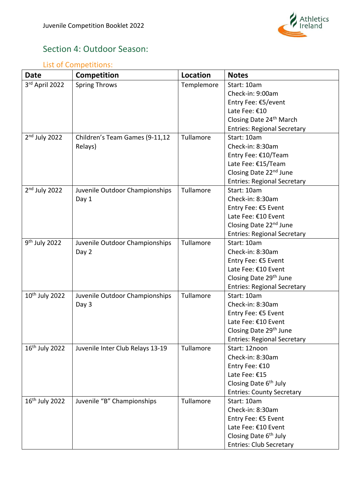

# <span id="page-24-0"></span>Section 4: Outdoor Season:

## <span id="page-24-1"></span>List of Competitions:

| <b>Date</b>                | Competition                      | <b>Location</b> | <b>Notes</b>                       |
|----------------------------|----------------------------------|-----------------|------------------------------------|
| 3rd April 2022             | <b>Spring Throws</b>             | Templemore      | Start: 10am                        |
|                            |                                  |                 | Check-in: 9:00am                   |
|                            |                                  |                 | Entry Fee: €5/event                |
|                            |                                  |                 | Late Fee: €10                      |
|                            |                                  |                 | Closing Date 24th March            |
|                            |                                  |                 | <b>Entries: Regional Secretary</b> |
| $2nd$ July 2022            | Children's Team Games (9-11,12   | Tullamore       | Start: 10am                        |
|                            | Relays)                          |                 | Check-in: 8:30am                   |
|                            |                                  |                 | Entry Fee: €10/Team                |
|                            |                                  |                 | Late Fee: €15/Team                 |
|                            |                                  |                 | Closing Date 22 <sup>nd</sup> June |
|                            |                                  |                 | <b>Entries: Regional Secretary</b> |
| $2nd$ July 2022            | Juvenile Outdoor Championships   | Tullamore       | Start: 10am                        |
|                            | Day 1                            |                 | Check-in: 8:30am                   |
|                            |                                  |                 | Entry Fee: €5 Event                |
|                            |                                  |                 | Late Fee: €10 Event                |
|                            |                                  |                 | Closing Date 22 <sup>nd</sup> June |
|                            |                                  |                 | <b>Entries: Regional Secretary</b> |
| 9 <sup>th</sup> July 2022  | Juvenile Outdoor Championships   | Tullamore       | Start: 10am                        |
|                            | Day 2                            |                 | Check-in: 8:30am                   |
|                            |                                  |                 | Entry Fee: €5 Event                |
|                            |                                  |                 | Late Fee: €10 Event                |
|                            |                                  |                 | Closing Date 29 <sup>th</sup> June |
|                            |                                  |                 | <b>Entries: Regional Secretary</b> |
| 10 <sup>th</sup> July 2022 | Juvenile Outdoor Championships   | Tullamore       | Start: 10am                        |
|                            | Day 3                            |                 | Check-in: 8:30am                   |
|                            |                                  |                 | Entry Fee: €5 Event                |
|                            |                                  |                 | Late Fee: €10 Event                |
|                            |                                  |                 | Closing Date 29 <sup>th</sup> June |
|                            |                                  |                 | <b>Entries: Regional Secretary</b> |
| 16 <sup>th</sup> July 2022 | Juvenile Inter Club Relays 13-19 | Tullamore       | Start: 12noon                      |
|                            |                                  |                 | Check-in: 8:30am                   |
|                            |                                  |                 | Entry Fee: €10                     |
|                            |                                  |                 | Late Fee: €15                      |
|                            |                                  |                 | Closing Date 6 <sup>th</sup> July  |
|                            |                                  |                 | <b>Entries: County Secretary</b>   |
| 16 <sup>th</sup> July 2022 | Juvenile "B" Championships       | Tullamore       | Start: 10am                        |
|                            |                                  |                 | Check-in: 8:30am                   |
|                            |                                  |                 | Entry Fee: €5 Event                |
|                            |                                  |                 | Late Fee: €10 Event                |
|                            |                                  |                 | Closing Date 6 <sup>th</sup> July  |
|                            |                                  |                 | <b>Entries: Club Secretary</b>     |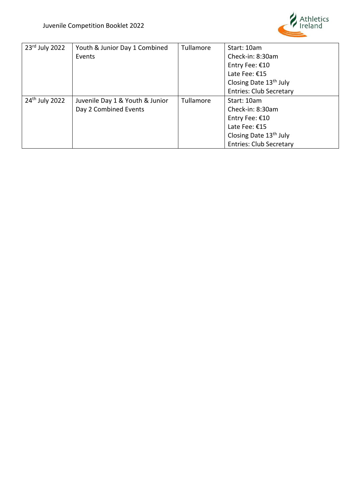

| $23rd$ July 2022           | Youth & Junior Day 1 Combined   | Tullamore | Start: 10am                        |
|----------------------------|---------------------------------|-----------|------------------------------------|
|                            | Events                          |           | Check-in: 8:30am                   |
|                            |                                 |           | Entry Fee: €10                     |
|                            |                                 |           | Late Fee: €15                      |
|                            |                                 |           | Closing Date 13 <sup>th</sup> July |
|                            |                                 |           | <b>Entries: Club Secretary</b>     |
| 24 <sup>th</sup> July 2022 | Juvenile Day 1 & Youth & Junior | Tullamore | Start: 10am                        |
|                            | Day 2 Combined Events           |           | Check-in: 8:30am                   |
|                            |                                 |           | Entry Fee: €10                     |
|                            |                                 |           | Late Fee: €15                      |
|                            |                                 |           | Closing Date 13 <sup>th</sup> July |
|                            |                                 |           | <b>Entries: Club Secretary</b>     |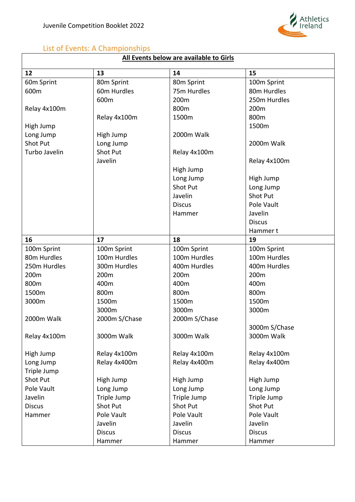

# <span id="page-26-0"></span>List of Events: A Championships

# **All Events below are available to Girls**

| 12            | 13            | 14               | 15              |
|---------------|---------------|------------------|-----------------|
| 60m Sprint    | 80m Sprint    | 80m Sprint       | 100m Sprint     |
| 600m          | 60m Hurdles   | 75m Hurdles      | 80m Hurdles     |
|               | 600m          | 200 <sub>m</sub> | 250m Hurdles    |
| Relay 4x100m  |               | 800m             | 200m            |
|               | Relay 4x100m  | 1500m            | 800m            |
| High Jump     |               |                  | 1500m           |
| Long Jump     | High Jump     | 2000m Walk       |                 |
| Shot Put      | Long Jump     |                  | 2000m Walk      |
| Turbo Javelin | Shot Put      | Relay 4x100m     |                 |
|               | Javelin       |                  | Relay 4x100m    |
|               |               | High Jump        |                 |
|               |               | Long Jump        | High Jump       |
|               |               | <b>Shot Put</b>  | Long Jump       |
|               |               | Javelin          | <b>Shot Put</b> |
|               |               | <b>Discus</b>    | Pole Vault      |
|               |               | Hammer           | Javelin         |
|               |               |                  | <b>Discus</b>   |
|               |               |                  | Hammer t        |
| 16            | 17            | 18               | 19              |
| 100m Sprint   | 100m Sprint   | 100m Sprint      | 100m Sprint     |
| 80m Hurdles   | 100m Hurdles  | 100m Hurdles     | 100m Hurdles    |
| 250m Hurdles  | 300m Hurdles  | 400m Hurdles     | 400m Hurdles    |
| 200m          | 200m          | 200m             | 200m            |
| 800m          | 400m          | 400m             | 400m            |
| 1500m         | 800m          | 800m             | 800m            |
| 3000m         | 1500m         | 1500m            | 1500m           |
|               | 3000m         | 3000m            | 3000m           |
| 2000m Walk    | 2000m S/Chase | 2000m S/Chase    |                 |
|               |               |                  |                 |
|               |               |                  | 3000m S/Chase   |
| Relay 4x100m  | 3000m Walk    | 3000m Walk       | 3000m Walk      |
|               |               |                  |                 |
| High Jump     | Relay 4x100m  | Relay 4x100m     | Relay 4x100m    |
| Long Jump     | Relay 4x400m  | Relay 4x400m     | Relay 4x400m    |
| Triple Jump   |               |                  |                 |
| Shot Put      | High Jump     | High Jump        | High Jump       |
| Pole Vault    | Long Jump     | Long Jump        | Long Jump       |
| Javelin       | Triple Jump   | Triple Jump      | Triple Jump     |
| <b>Discus</b> | Shot Put      | Shot Put         | <b>Shot Put</b> |
| Hammer        | Pole Vault    | Pole Vault       | Pole Vault      |
|               | Javelin       | Javelin          | Javelin         |
|               | <b>Discus</b> | <b>Discus</b>    | <b>Discus</b>   |
|               | Hammer        | Hammer           | Hammer          |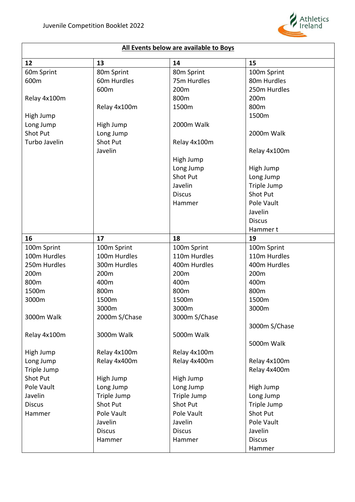

| All Events below are available to Boys |
|----------------------------------------|
|----------------------------------------|

| 12              | 13            | 14              | 15              |
|-----------------|---------------|-----------------|-----------------|
| 60m Sprint      | 80m Sprint    | 80m Sprint      | 100m Sprint     |
| 600m            | 60m Hurdles   | 75m Hurdles     | 80m Hurdles     |
|                 | 600m          | 200m            | 250m Hurdles    |
| Relay 4x100m    |               | 800m            | 200m            |
|                 | Relay 4x100m  | 1500m           | 800m            |
| High Jump       |               |                 | 1500m           |
| Long Jump       | High Jump     | 2000m Walk      |                 |
| <b>Shot Put</b> | Long Jump     |                 | 2000m Walk      |
| Turbo Javelin   | Shot Put      | Relay 4x100m    |                 |
|                 | Javelin       |                 | Relay 4x100m    |
|                 |               | High Jump       |                 |
|                 |               | Long Jump       | High Jump       |
|                 |               | <b>Shot Put</b> | Long Jump       |
|                 |               | Javelin         | Triple Jump     |
|                 |               | <b>Discus</b>   | Shot Put        |
|                 |               | Hammer          | Pole Vault      |
|                 |               |                 | Javelin         |
|                 |               |                 | <b>Discus</b>   |
|                 |               |                 | Hammer t        |
| 16              | 17            | 18              | 19              |
| 100m Sprint     | 100m Sprint   | 100m Sprint     | 100m Sprint     |
| 100m Hurdles    | 100m Hurdles  | 110m Hurdles    | 110m Hurdles    |
| 250m Hurdles    | 300m Hurdles  | 400m Hurdles    | 400m Hurdles    |
|                 |               |                 |                 |
| 200m            | 200m          | 200m            | 200m            |
| 800m            | 400m          | 400m            | 400m            |
| 1500m           | 800m          | 800m            | 800m            |
| 3000m           | 1500m         | 1500m           | 1500m           |
|                 | 3000m         | 3000m           | 3000m           |
| 3000m Walk      | 2000m S/Chase | 3000m S/Chase   |                 |
|                 |               |                 | 3000m S/Chase   |
| Relay 4x100m    | 3000m Walk    | 5000m Walk      |                 |
|                 |               |                 | 5000m Walk      |
| High Jump       | Relay 4x100m  | Relay 4x100m    |                 |
| Long Jump       | Relay 4x400m  | Relay 4x400m    | Relay 4x100m    |
| Triple Jump     |               |                 | Relay 4x400m    |
| <b>Shot Put</b> | High Jump     | High Jump       |                 |
| Pole Vault      | Long Jump     | Long Jump       | High Jump       |
| Javelin         | Triple Jump   | Triple Jump     | Long Jump       |
| <b>Discus</b>   | Shot Put      | Shot Put        | Triple Jump     |
| Hammer          | Pole Vault    | Pole Vault      | <b>Shot Put</b> |
|                 | Javelin       | Javelin         | Pole Vault      |
|                 | <b>Discus</b> | <b>Discus</b>   | Javelin         |
|                 | Hammer        | Hammer          | <b>Discus</b>   |
|                 |               |                 | Hammer          |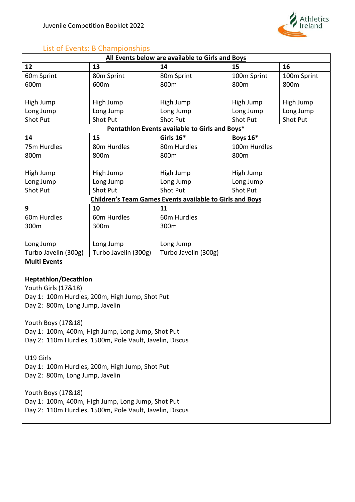

## <span id="page-28-0"></span>List of Events: B Championships

| All Events below are available to Girls and Boys |                      |                                                                 |                 |             |
|--------------------------------------------------|----------------------|-----------------------------------------------------------------|-----------------|-------------|
| 12                                               | 13                   | 14                                                              | 15              | 16          |
| 60m Sprint                                       | 80m Sprint           | 80m Sprint                                                      | 100m Sprint     | 100m Sprint |
| 600m                                             | 600m                 | 800m                                                            | 800m            | 800m        |
|                                                  |                      |                                                                 |                 |             |
| High Jump                                        | High Jump            | High Jump                                                       | High Jump       | High Jump   |
| Long Jump                                        | Long Jump            | Long Jump                                                       | Long Jump       | Long Jump   |
| <b>Shot Put</b>                                  | Shot Put             | Shot Put                                                        | Shot Put        | Shot Put    |
|                                                  |                      | Pentathlon Events available to Girls and Boys*                  |                 |             |
| 14                                               | 15                   | Girls 16*                                                       | <b>Boys 16*</b> |             |
| 75m Hurdles                                      | 80m Hurdles          | 80m Hurdles                                                     | 100m Hurdles    |             |
| 800m                                             | 800m                 | 800m                                                            | 800m            |             |
|                                                  |                      |                                                                 |                 |             |
| High Jump                                        | High Jump            | High Jump                                                       | High Jump       |             |
| Long Jump                                        | Long Jump            | Long Jump                                                       | Long Jump       |             |
| <b>Shot Put</b>                                  | Shot Put             | <b>Shot Put</b>                                                 | Shot Put        |             |
|                                                  |                      | <b>Children's Team Games Events available to Girls and Boys</b> |                 |             |
| 9                                                | 10                   | 11                                                              |                 |             |
| 60m Hurdles                                      | 60m Hurdles          | 60 <sub>m</sub> Hurdles                                         |                 |             |
| 300m                                             | 300m                 | 300m                                                            |                 |             |
|                                                  |                      |                                                                 |                 |             |
| Long Jump                                        | Long Jump            | Long Jump                                                       |                 |             |
| Turbo Javelin (300g)                             | Turbo Javelin (300g) | Turbo Javelin (300g)                                            |                 |             |
| <b>Multi Events</b>                              |                      |                                                                 |                 |             |
|                                                  |                      |                                                                 |                 |             |

#### **Heptathlon/Decathlon**

Youth Girls (17&18) Day 1: 100m Hurdles, 200m, High Jump, Shot Put Day 2: 800m, Long Jump, Javelin

Youth Boys (17&18) Day 1: 100m, 400m, High Jump, Long Jump, Shot Put Day 2: 110m Hurdles, 1500m, Pole Vault, Javelin, Discus

U19 Girls Day 1: 100m Hurdles, 200m, High Jump, Shot Put Day 2: 800m, Long Jump, Javelin

Youth Boys (17&18) Day 1: 100m, 400m, High Jump, Long Jump, Shot Put Day 2: 110m Hurdles, 1500m, Pole Vault, Javelin, Discus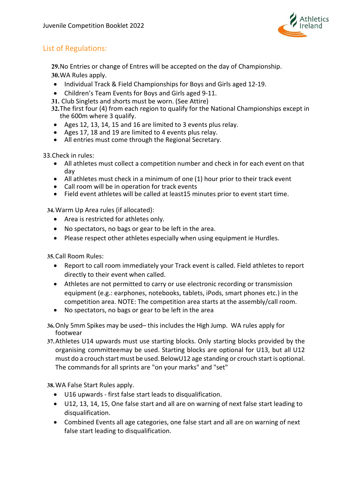

## <span id="page-29-0"></span>List of Regulations:

**29.**No Entries or change of Entres will be accepted on the day of Championship. **30.**WA Rules apply.

- Individual Track & Field Championships for Boys and Girls aged 12-19.
- Children's Team Events for Boys and Girls aged 9-11.
- **31.** Club Singlets and shorts must be worn. (See Attire)
- **32.**The first four (4) from each region to qualify for the National Championships except in the 600m where 3 qualify.
- Ages 12, 13, 14, 15 and 16 are limited to 3 events plus relay.
- Ages 17, 18 and 19 are limited to 4 events plus relay.
- All entries must come through the Regional Secretary.

33.Check in rules:

- All athletes must collect a competition number and check in for each event on that day
- All athletes must check in a minimum of one (1) hour prior to their track event
- Call room will be in operation for track events
- Field event athletes will be called at least15 minutes prior to event start time.

**34.**Warm Up Area rules (if allocated):

- Area is restricted for athletes only.
- No spectators, no bags or gear to be left in the area.
- Please respect other athletes especially when using equipment ie Hurdles.

**35.**Call Room Rules:

- Report to call room immediately your Track event is called. Field athletes to report directly to their event when called.
- Athletes are not permitted to carry or use electronic recording or transmission equipment (e.g.: earphones, notebooks, tablets, iPods, smart phones etc.) in the competition area. NOTE: The competition area starts at the assembly/call room.
- No spectators, no bags or gear to be left in the area
- **36.**Only 5mm Spikes may be used– this includes the High Jump. WA rules apply for footwear
- **37.**Athletes U14 upwards must use starting blocks. Only starting blocks provided by the organising committeemay be used. Starting blocks are optional for U13, but all U12 must do a crouch start must be used. BelowU12 age standing or crouch start is optional. The commands for all sprints are "on your marks" and "set"

**38.**WA False Start Rules apply.

- U16 upwards first false start leads to disqualification.
- U12, 13, 14, 15, One false start and all are on warning of next false start leading to disqualification.
- Combined Events all age categories, one false start and all are on warning of next false start leading to disqualification.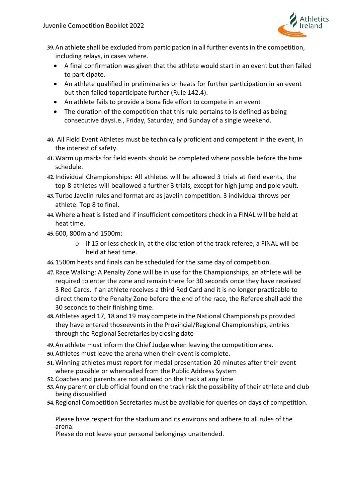

- **39.**An athlete shall be excluded from participation in all further events in the competition, including relays, in cases where.
	- A final confirmation was given that the athlete would start in an event but then failed to participate.
	- An athlete qualified in preliminaries or heats for further participation in an event but then failed toparticipate further (Rule 142.4).
	- An athlete fails to provide a bona fide effort to compete in an event
	- The duration of the competition that this rule pertains to is defined as being consecutive daysi.e., Friday, Saturday, and Sunday of a single weekend.
- **40.** All Field Event Athletes must be technically proficient and competent in the event, in the interest of safety.
- **41.**Warm up marks for field events should be completed where possible before the time schedule.
- **42.**Individual Championships: All athletes will be allowed 3 trials at field events, the top 8 athletes will beallowed a further 3 trials, except for high jump and pole vault.
- **43.**Turbo Javelin rules and format are as javelin competition. 3 individual throws per athlete. Top 8 to final.
- **44.**Where a heat is listed and if insufficient competitors check in a FINAL will be held at heat time.
- **45.**600, 800m and 1500m:
	- $\circ$  If 15 or less check in, at the discretion of the track referee, a FINAL will be held at heat time.
- **46.**1500m heats and finals can be scheduled for the same day of competition.
- **47.**Race Walking: A Penalty Zone will be in use for the Championships, an athlete will be required to enter the zone and remain there for 30 seconds once they have received 3 Red Cards. If an athlete receives a third Red Card and it is no longer practicable to direct them to the Penalty Zone before the end of the race, the Referee shall add the 30 seconds to their finishing time.
- **48.**Athletes aged 17, 18 and 19 may compete in the National Championships provided they have entered thoseevents in the Provincial/Regional Championships, entries through the Regional Secretaries by closing date
- **49.**An athlete must inform the Chief Judge when leaving the competition area.
- **50.**Athletes must leave the arena when their event is complete.
- **51.**Winning athletes must report for medal presentation 20 minutes after their event where possible or whencalled from the Public Address System
- **52.**Coaches and parents are not allowed on the track at any time
- **53.**Any parent or club official found on the track risk the possibility of their athlete and club being disqualified
- **54.**Regional Competition Secretaries must be available for queries on days of competition.

Please have respect for the stadium and its environs and adhere to all rules of the arena.

Please do not leave your personal belongings unattended.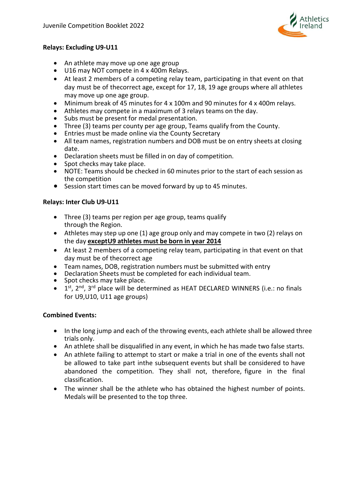

#### **Relays: Excluding U9-U11**

- An athlete may move up one age group
- U16 may NOT compete in 4 x 400m Relays.
- At least 2 members of a competing relay team, participating in that event on that day must be of thecorrect age, except for 17, 18, 19 age groups where all athletes may move up one age group.
- Minimum break of 45 minutes for 4 x 100m and 90 minutes for 4 x 400m relays.
- Athletes may compete in a maximum of 3 relays teams on the day.
- Subs must be present for medal presentation.
- Three (3) teams per county per age group, Teams qualify from the County.
- Entries must be made online via the County Secretary
- All team names, registration numbers and DOB must be on entry sheets at closing date.
- Declaration sheets must be filled in on day of competition.
- Spot checks may take place.
- NOTE: Teams should be checked in 60 minutes prior to the start of each session as the competition
- Session start times can be moved forward by up to 45 minutes.

#### **Relays: Inter Club U9-U11**

- Three (3) teams per region per age group, teams qualify through the Region.
- Athletes may step up one (1) age group only and may compete in two (2) relays on the day **except U9 athletes must be born in year 2014**
- At least 2 members of a competing relay team, participating in that event on that day must be of thecorrect age
- Team names, DOB, registration numbers must be submitted with entry<br>• Declaration Sheets must be completed for each individual team.<br>• Spot checks may take place.
- 
- 
- $\bullet$  1<sup>st</sup>, 2<sup>nd</sup>, 3<sup>rd</sup> place will be determined as HEAT DECLARED WINNERS (i.e.: no finals for U9,U10, U11 age groups)

#### **Combined Events:**

- In the long jump and each of the throwing events, each athlete shall be allowed three trials only.
- An athlete shall be disqualified in any event, in which he has made two false starts.
- An athlete failing to attempt to start or make a trial in one of the events shall not be allowed to take part inthe subsequent events but shall be considered to have abandoned the competition. They shall not, therefore, figure in the final classification.
- The winner shall be the athlete who has obtained the highest number of points. Medals will be presented to the top three.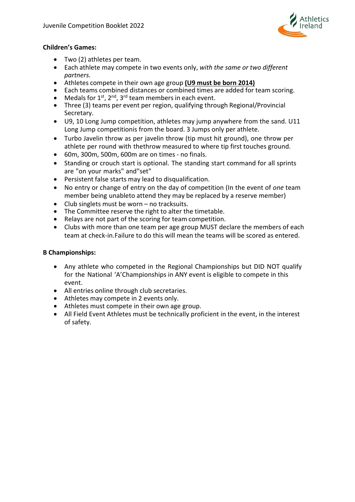

#### **Children's Games:**

- Two (2) athletes per team.
- Each athlete may compete in two events only, *with the same or two different partners*.
- Athletes compete in their own age group **(U9 must be born 2014)**
- Each teams combined distances or combined times are added for team scoring.
- Medals for  $1^{st}$ ,  $2^{nd}$ ,  $3^{rd}$  team members in each event.
- Three (3) teams per event per region, qualifying through Regional/Provincial Secretary.
- U9, 10 Long Jump competition, athletes may jump anywhere from the sand. U11 Long Jump competitionis from the board. 3 Jumps only per athlete.
- Turbo Javelin throw as per javelin throw (tip must hit ground), one throw per athlete per round with thethrow measured to where tip first touches ground.
- 60m, 300m, 500m, 600m are on times no finals.
- Standing or crouch start is optional. The standing start command for all sprints are "on your marks" and"set"
- Persistent false starts may lead to disqualification.
- No entry or change of entry on the day of competition (In the event of *one* team member being unableto attend they may be replaced by a reserve member)
- Club singlets must be worn no tracksuits.<br>• The Committee reserve the right to alter th
- The Committee reserve the right to alter the timetable.
- Relays are not part of the scoring for team competition.
- Clubs with more than one team per age group MUST declare the members of each team at check-in.Failure to do this will mean the teams will be scored as entered.

#### **B Championships:**

- Any athlete who competed in the Regional Championships but DID NOT qualify for the National 'A'Championships in ANY event is eligible to compete in this event.
- All entries online through club secretaries.
- Athletes may compete in 2 events only.
- Athletes must compete in their own age group.
- All Field Event Athletes must be technically proficient in the event, in the interest of safety.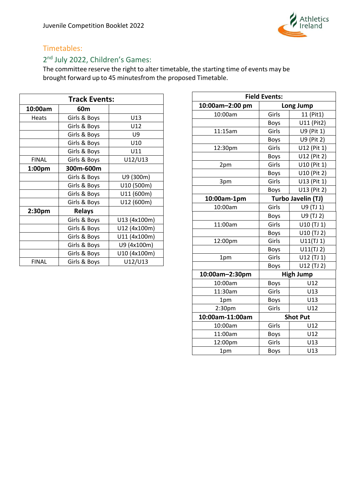

## <span id="page-33-0"></span>Timetables:

# <span id="page-33-1"></span>2<sup>nd</sup> July 2022, Children's Games:

| <b>Track Events:</b> |               |              |  |
|----------------------|---------------|--------------|--|
| 10:00am              | 60m           |              |  |
| <b>Heats</b>         | Girls & Boys  | U13          |  |
|                      | Girls & Boys  | U12          |  |
|                      | Girls & Boys  | U9           |  |
|                      | Girls & Boys  | U10          |  |
|                      | Girls & Boys  | U11          |  |
| <b>FINAL</b>         | Girls & Boys  | U12/U13      |  |
| 1:00 <sub>pm</sub>   | 300m-600m     |              |  |
|                      | Girls & Boys  | U9 (300m)    |  |
|                      | Girls & Boys  | U10 (500m)   |  |
|                      | Girls & Boys  | U11 (600m)   |  |
|                      | Girls & Boys  | U12 (600m)   |  |
| 2:30pm               | <b>Relays</b> |              |  |
|                      | Girls & Boys  | U13 (4x100m) |  |
|                      | Girls & Boys  | U12 (4x100m) |  |
|                      | Girls & Boys  | U11 (4x100m) |  |
|                      | Girls & Boys  | U9 (4x100m)  |  |
|                      | Girls & Boys  | U10 (4x100m) |  |
| <b>FINAL</b>         | Girls & Boys  | U12/U13      |  |

| <b>Field Events:</b> |                    |                  |  |
|----------------------|--------------------|------------------|--|
| 10:00am-2:00 pm      | Long Jump          |                  |  |
| 10:00am              | Girls              | 11 (Pit1)        |  |
|                      | <b>Boys</b>        | U11 (Pit2)       |  |
| 11:15am              | Girls              | U9 (Pit 1)       |  |
|                      | <b>Boys</b>        | U9 (Pit 2)       |  |
| 12:30pm              | Girls              | U12 (Pit 1)      |  |
|                      | <b>Boys</b>        | U12 (Pit 2)      |  |
| 2pm                  | Girls              | U10 (Pit 1)      |  |
|                      | <b>Boys</b>        | U10 (Pit 2)      |  |
| 3pm                  | Girls              | U13 (Pit 1)      |  |
|                      | <b>Boys</b>        | U13 (Pit 2)      |  |
| 10:00am-1pm          | Turbo Javelin (TJ) |                  |  |
| 10:00am              | Girls              | U9 (TJ 1)        |  |
|                      | <b>Boys</b>        | U9 (TJ 2)        |  |
| 11:00am              | Girls              | U10 (TJ 1)       |  |
|                      | <b>Boys</b>        | U10 (TJ 2)       |  |
| 12:00pm              | Girls              | U11(TJ1)         |  |
|                      | <b>Boys</b>        | U11(TJ2)         |  |
| 1pm                  | Girls              | U12 (TJ 1)       |  |
|                      | Boys               | U12 (TJ 2)       |  |
| 10:00am-2:30pm       |                    | <b>High Jump</b> |  |
| 10:00am              | Boys               | U12              |  |
| 11:30am              | Girls              | U13              |  |
| 1pm                  | Boys               | U13              |  |
| 2:30pm               | Girls              | U12              |  |
| 10:00am-11:00am      | <b>Shot Put</b>    |                  |  |
| 10:00am              | Girls              | U12              |  |
| 11:00am              | <b>Boys</b>        | U12              |  |
| 12:00pm              | Girls              | U13              |  |
| 1pm                  | Boys               | U13              |  |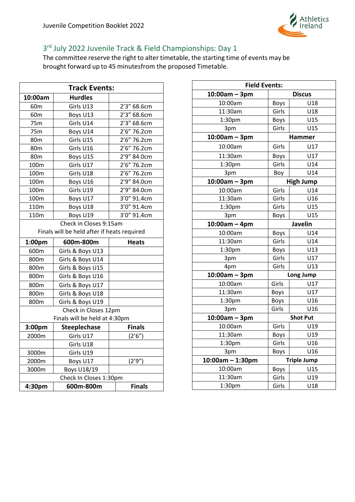

# <span id="page-34-0"></span>3<sup>rd</sup> July 2022 Juvenile Track & Field Championships: Day 1

|                        | <b>Track Events:</b>                        |                |  |  |
|------------------------|---------------------------------------------|----------------|--|--|
| 10:00am                | <b>Hurdles</b>                              |                |  |  |
| 60 <sub>m</sub>        | Girls U13                                   | 2'3" 68.6cm    |  |  |
| 60 <sub>m</sub>        | Boys U13                                    | 2'3" 68.6cm    |  |  |
| 75m                    | Girls U14                                   | $2'3''$ 68.6cm |  |  |
| 75m                    | Boys U14                                    | 2'6" 76.2cm    |  |  |
| 80m                    | Girls U15                                   | 2'6" 76.2cm    |  |  |
| 80m                    | Girls U16                                   | $2'6''$ 76.2cm |  |  |
| 80m                    | Boys U15                                    | 2'9" 84.0cm    |  |  |
| 100m                   | Girls U17                                   | 2'6" 76.2cm    |  |  |
| 100m                   | Girls U18                                   | 2'6" 76.2cm    |  |  |
| 100m                   | Boys U16                                    | 2'9" 84.0cm    |  |  |
| 100m                   | Girls U19                                   | 2'9" 84.0cm    |  |  |
| 100m                   | Boys U17                                    | 3'0" 91.4cm    |  |  |
| 110m                   | Boys U18                                    | 3'0" 91.4cm    |  |  |
| 110m                   | Boys U19                                    | 3'0" 91.4cm    |  |  |
| Check in Closes 9:15am |                                             |                |  |  |
|                        | Finals will be held after if heats required |                |  |  |
|                        |                                             |                |  |  |
| 1:00pm                 | 600m-800m                                   | <b>Heats</b>   |  |  |
| 600m                   | Girls & Boys U13                            |                |  |  |
| 800m                   | Girls & Boys U14                            |                |  |  |
| 800m                   | Girls & Boys U15                            |                |  |  |
| 800m                   | Girls & Boys U16                            |                |  |  |
| 800m                   | Girls & Boys U17                            |                |  |  |
| 800m                   | Girls & Boys U18                            |                |  |  |
| 800m                   | Girls & Boys U19                            |                |  |  |
|                        | Check in Closes 12pm                        |                |  |  |
|                        | Finals will be held at 4:30pm               |                |  |  |
| 3:00pm                 | <b>Steeplechase</b>                         | <b>Finals</b>  |  |  |
| 2000m                  | Girls U17                                   | (2'6'')        |  |  |
|                        | Girls U18                                   |                |  |  |
| 3000m                  | Girls U19                                   |                |  |  |
| 2000m                  | Boys U17                                    | (2'9'')        |  |  |
| 3000m                  | Boys U18/19                                 |                |  |  |
|                        | Check In Closes 1:30pm<br>600m-800m         | <b>Finals</b>  |  |  |

| <b>Field Events:</b> |                 |                    |  |
|----------------------|-----------------|--------------------|--|
| $10:00am - 3pm$      | <b>Discus</b>   |                    |  |
| 10:00am              | <b>Boys</b>     | U18                |  |
| 11:30am              | Girls           | U18                |  |
| 1:30pm               | <b>Boys</b>     | U15                |  |
| 3pm                  | Girls           | U15                |  |
| $10:00am - 3pm$      |                 | Hammer             |  |
| 10:00am              | Girls           | U17                |  |
| 11:30am              | <b>Boys</b>     | U17                |  |
| 1:30pm               | Girls           | U14                |  |
| 3pm                  | Boy             | U14                |  |
| $10:00am - 3pm$      |                 | <b>High Jump</b>   |  |
| 10:00am              | Girls           | U14                |  |
| 11:30am              | Girls           | U16                |  |
| 1:30pm               | Girls           | U15                |  |
| 3pm                  | Boys            | U15                |  |
| $10:00am - 4pm$      |                 |                    |  |
| 10:00am              | Boys            | U14                |  |
| 11:30am              | Girls           | U14                |  |
| 1:30 <sub>pm</sub>   | Boys            | U13                |  |
| 3pm                  | Girls           | U17                |  |
| 4pm                  | Girls           | U13                |  |
| $10:00am - 3pm$      |                 | Long Jump          |  |
| 10:00am              | Girls           | U17                |  |
| 11:30am              | <b>Boys</b>     | U17                |  |
| 1:30pm               | Boys            | U16                |  |
| 3pm                  | Girls           | U16                |  |
| $10:00am - 3pm$      | <b>Shot Put</b> |                    |  |
| 10:00am              | Girls           | U19                |  |
| 11:30am              | Boys            | U19                |  |
| 1:30pm               | Girls           | U16                |  |
| 3pm                  | <b>Boys</b>     | U16                |  |
| $10:00$ am - 1:30pm  |                 | <b>Triple Jump</b> |  |
| 10:00am              | <b>Boys</b>     | U15                |  |
| 11:30am              | Girls           | U19                |  |
| 1:30pm               | Girls           | U18                |  |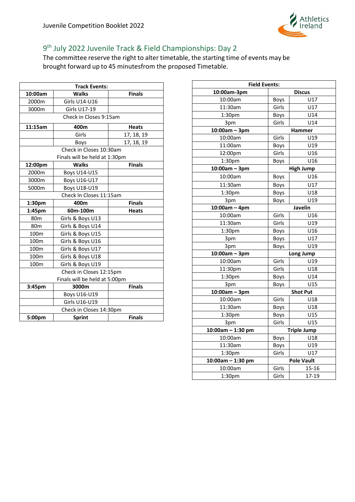

# <span id="page-35-0"></span>9th July 2022 Juvenile Track & Field Championships: Day 2

| <b>Track Events:</b>    |                               |               |  |
|-------------------------|-------------------------------|---------------|--|
| 10:00am                 | <b>Walks</b>                  | <b>Finals</b> |  |
| 2000m                   | Girls U14-U16                 |               |  |
| 3000m                   | <b>Girls U17-19</b>           |               |  |
|                         | Check in Closes 9:15am        |               |  |
| 11:15am                 | 400m                          | <b>Heats</b>  |  |
|                         | Girls                         | 17, 18, 19    |  |
|                         | <b>Boys</b>                   | 17, 18, 19    |  |
|                         | Check in Closes 10:30am       |               |  |
|                         | Finals will be held at 1:30pm |               |  |
| 12:00pm                 | <b>Walks</b>                  | <b>Finals</b> |  |
| 2000m                   | <b>Boys U14-U15</b>           |               |  |
| 3000m                   | <b>Boys U16-U17</b>           |               |  |
| 5000m                   | Boys U18-U19                  |               |  |
|                         | Check In Closes 11:15am       |               |  |
| 1:30pm                  | 400m                          | <b>Finals</b> |  |
| 1:45pm                  | 60m-100m                      | <b>Heats</b>  |  |
| 80 <sub>m</sub>         | Girls & Boys U13              |               |  |
| 80 <sub>m</sub>         | Girls & Boys U14              |               |  |
| 100 <sub>m</sub>        | Girls & Boys U15              |               |  |
| 100m                    | Girls & Boys U16              |               |  |
| 100m                    | Girls & Boys U17              |               |  |
| 100m                    | Girls & Boys U18              |               |  |
| 100 <sub>m</sub>        | Girls & Boys U19              |               |  |
|                         | Check in Closes 12:15pm       |               |  |
|                         | Finals will be held at 5:00pm |               |  |
| 3:45pm                  | 3000m                         | <b>Finals</b> |  |
|                         | Boys U16-U19                  |               |  |
|                         | Girls U16-U19                 |               |  |
| Check in Closes 14:30pm |                               |               |  |
| 5:00pm                  | <b>Sprint</b>                 | <b>Finals</b> |  |

| <b>Field Events:</b>         |                    |                  |  |
|------------------------------|--------------------|------------------|--|
| 10:00am-3pm<br><b>Discus</b> |                    |                  |  |
| 10:00am                      | Boys               | U17              |  |
| 11:30am                      | Girls              | U17              |  |
| 1:30pm                       | <b>Boys</b>        | U14              |  |
| 3pm                          | Girls              | U14              |  |
| $10:00am - 3pm$              | Hammer             |                  |  |
| 10:00am                      | Girls              | U19              |  |
| 11:00am                      | <b>Boys</b>        | U19              |  |
| 12:00pm                      | Girls              | U16              |  |
| 1:30pm                       | <b>Boys</b>        | U16              |  |
| $10:00am - 3pm$              |                    | <b>High Jump</b> |  |
| 10:00am                      | Boys               | U16              |  |
| 11:30am                      | <b>Boys</b>        | U17              |  |
| 1:30pm                       | Boys               | U18              |  |
| 3pm                          | Boys               | U19              |  |
| $10:00am - 4pm$              |                    | Javelin          |  |
| 10:00am                      | Girls              | U16              |  |
| 11:30am                      | Girls              | U19              |  |
| 1:30 <sub>pm</sub>           | <b>Boys</b>        | U16              |  |
| 3pm                          | Boys               | U17              |  |
| 3pm                          | Boys               | U19              |  |
| $10:00am - 3pm$              |                    | Long Jump        |  |
| 10:00am                      | Girls              | U19              |  |
| 11:30pm                      | Girls              | U18              |  |
| 1:30pm                       | <b>Boys</b>        | U14              |  |
| 3pm                          | Boys               | U15              |  |
| $10:00am - 3pm$              |                    | <b>Shot Put</b>  |  |
| 10:00am                      | Girls              | U18              |  |
| 11:30am                      | <b>Boys</b>        | U18              |  |
| 1:30pm                       | <b>Boys</b>        | U15              |  |
| 3pm                          | Girls              | U15              |  |
| $10:00am - 1:30pm$           | <b>Triple Jump</b> |                  |  |
| 10:00am                      | <b>Boys</b>        | U18              |  |
| 11:30am                      | Boys               | U19              |  |
| 1:30pm                       | Girls              | U17              |  |
| 10:00am - 1:30 pm            | <b>Pole Vault</b>  |                  |  |
| 10:00am                      | Girls              | 15-16            |  |
| 1:30pm                       | Girls              | 17-19            |  |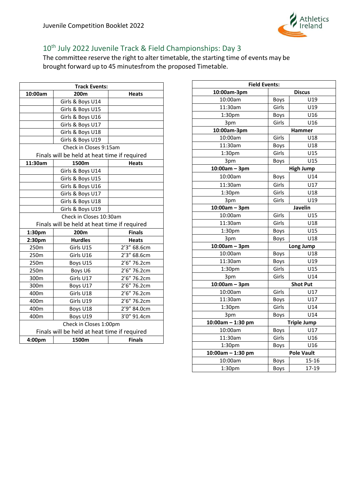

# <span id="page-36-0"></span>10<sup>th</sup> July 2022 Juvenile Track & Field Championships: Day 3

| <b>Track Events:</b> |                                              |               |  |
|----------------------|----------------------------------------------|---------------|--|
| 10:00am              | 200m                                         | <b>Heats</b>  |  |
|                      | Girls & Boys U14                             |               |  |
|                      | Girls & Boys U15                             |               |  |
|                      | Girls & Boys U16                             |               |  |
|                      | Girls & Boys U17                             |               |  |
|                      | Girls & Boys U18                             |               |  |
|                      | Girls & Boys U19                             |               |  |
|                      | Check in Closes 9:15am                       |               |  |
|                      | Finals will be held at heat time if required |               |  |
| 11:30am              | 1500m                                        | <b>Heats</b>  |  |
|                      | Girls & Boys U14                             |               |  |
|                      | Girls & Boys U15                             |               |  |
|                      | Girls & Boys U16                             |               |  |
|                      | Girls & Boys U17                             |               |  |
|                      | Girls & Boys U18                             |               |  |
|                      | Girls & Boys U19                             |               |  |
|                      | Check in Closes 10:30am                      |               |  |
|                      | Finals will be held at heat time if required |               |  |
| 1:30pm               | 200m                                         | <b>Finals</b> |  |
| 2:30pm               | <b>Hurdles</b>                               | <b>Heats</b>  |  |
| 250m                 | Girls U15                                    | 2'3" 68.6cm   |  |
| 250m                 | Girls U16                                    | 2'3" 68.6cm   |  |
| 250m                 | Boys U15                                     | 2'6" 76.2cm   |  |
| 250m                 | Boys U6                                      | 2'6" 76.2cm   |  |
| 300m                 | Girls U17                                    | 2'6" 76.2cm   |  |
| 300m                 | Boys U17                                     | 2'6" 76.2cm   |  |
| 400m                 | Girls U18                                    | 2'6" 76.2cm   |  |
| 400m                 | Girls U19                                    | 2'6" 76.2cm   |  |
| 400m                 | Boys U18                                     | 2'9" 84.0cm   |  |
| 400m                 | Boys U19                                     | 3'0" 91.4cm   |  |
|                      | Check in Closes 1:00pm                       |               |  |
|                      | Finals will be held at heat time if required |               |  |
| 4:00pm               | 1500m                                        | <b>Finals</b> |  |

| <b>Field Events:</b> |                    |                   |  |  |
|----------------------|--------------------|-------------------|--|--|
| 10:00am-3pm          | <b>Discus</b>      |                   |  |  |
| 10:00am              | <b>Boys</b>        | U19               |  |  |
| 11:30am              | Girls              | U19               |  |  |
| 1:30pm               | <b>Boys</b>        | U16               |  |  |
| 3pm                  | Girls              | U16               |  |  |
| 10:00am-3pm          |                    | <b>Hammer</b>     |  |  |
| 10:00am              | Girls              | U18               |  |  |
| 11:30am              | <b>Boys</b>        | U18               |  |  |
| 1:30pm               | Girls              | U15               |  |  |
| 3pm                  | <b>Boys</b>        | U <sub>15</sub>   |  |  |
| $10:00am - 3pm$      |                    | <b>High Jump</b>  |  |  |
| 10:00am              | <b>Boys</b>        | U14               |  |  |
| 11:30am              | Girls              | U17               |  |  |
| 1:30pm               | Girls              | U18               |  |  |
| 3pm                  | Girls              | U19               |  |  |
| $10:00am - 3pm$      |                    | Javelin           |  |  |
| 10:00am              | Girls              | U15               |  |  |
| 11:30am              | Girls              | U18               |  |  |
| 1:30pm               | Boys               | U15               |  |  |
| 3pm                  | <b>Boys</b>        | U18               |  |  |
| $10:00am - 3pm$      |                    | Long Jump         |  |  |
| 10:00am              | Boys               | U18               |  |  |
| 11:30am              | Boys               | U19               |  |  |
| 1:30 <sub>pm</sub>   | Girls              | U15               |  |  |
| 3pm                  | Girls              | U14               |  |  |
| $10:00am - 3pm$      |                    | <b>Shot Put</b>   |  |  |
| 10:00am              | Girls              | U17               |  |  |
| 11:30am              | Boys               | U17               |  |  |
| 1:30pm               | Girls              | U14               |  |  |
| 3pm                  | Boys               | U14               |  |  |
| $10:00$ am - 1:30 pm | <b>Triple Jump</b> |                   |  |  |
| 10:00am              | <b>Boys</b>        | U17               |  |  |
| 11:30am              | Girls              | U16               |  |  |
| 1:30pm               | Boys               | U16               |  |  |
| $10:00$ am - 1:30 pm |                    | <b>Pole Vault</b> |  |  |
| 10:00am              | Boys               | $15 - 16$         |  |  |
| 1:30 <sub>pm</sub>   | <b>Boys</b>        | 17-19             |  |  |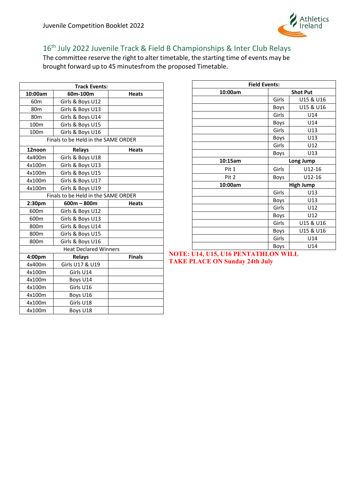

# <span id="page-37-0"></span>16<sup>th</sup> July 2022 Juvenile Track & Field B Championships & Inter Club Relays

The committee reserve the right to alter timetable, the starting time of events may be brought forward up to 45 minutesfrom the proposed Timetable.

| <b>Track Events:</b>                |                                     |               |  |
|-------------------------------------|-------------------------------------|---------------|--|
| 10:00am                             | 60m-100m                            | <b>Heats</b>  |  |
| 60 <sub>m</sub>                     | Girls & Boys U12                    |               |  |
| 80 <sub>m</sub>                     | Girls & Boys U13                    |               |  |
| 80 <sub>m</sub>                     | Girls & Boys U14                    |               |  |
| 100m                                | Girls & Boys U15                    |               |  |
| 100m                                | Girls & Boys U16                    |               |  |
| Finals to be Held in the SAME ORDER |                                     |               |  |
| 12noon                              | <b>Relays</b>                       | <b>Heats</b>  |  |
| 4x400m                              | Girls & Boys U18                    |               |  |
| 4x100m                              | Girls & Boys U13                    |               |  |
| 4x100m                              | Girls & Boys U15                    |               |  |
| 4x100m                              | Girls & Boys U17                    |               |  |
| 4x100m                              | Girls & Boys U19                    |               |  |
|                                     | Finals to be Held in the SAME ORDER |               |  |
| 2:30 <sub>pm</sub>                  | $600m - 800m$                       | <b>Heats</b>  |  |
| 600m                                | Girls & Boys U12                    |               |  |
| 600m                                | Girls & Boys U13                    |               |  |
| 800m                                | Girls & Boys U14                    |               |  |
| 800m                                | Girls & Boys U15                    |               |  |
| 800 <sub>m</sub>                    | Girls & Boys U16                    |               |  |
|                                     | <b>Heat Declared Winners</b>        |               |  |
| 4:00pm                              | <b>Relays</b>                       | <b>Finals</b> |  |
| 4x400m                              | Girls U17 & U19                     |               |  |
| 4x100m                              | Girls U14                           |               |  |
| 4x100m                              | Boys U14                            |               |  |
| 4x100m                              |                                     |               |  |
|                                     | Girls U16                           |               |  |
| 4x100m                              | Boys U16                            |               |  |
| 4x100m                              | Girls U18                           |               |  |

| <b>Field Events:</b> |       |                  |  |
|----------------------|-------|------------------|--|
| 10:00am              |       | <b>Shot Put</b>  |  |
|                      | Girls | U15 & U16        |  |
|                      | Boys  | U15 & U16        |  |
|                      | Girls | U14              |  |
|                      | Boys  | U14              |  |
|                      | Girls | U13              |  |
|                      | Boys  | U13              |  |
|                      | Girls | U12              |  |
|                      | Boys  | U13              |  |
| 10:15am              |       | Long Jump        |  |
| Pit 1                | Girls | $U12-16$         |  |
| Pit 2                | Boys  | $U12-16$         |  |
| 10:00am              |       | <b>High Jump</b> |  |
|                      | Girls | U13              |  |
|                      | Boys  | U13              |  |
|                      | Girls | U12              |  |
|                      | Boys  | U12              |  |
|                      | Girls | U15 & U16        |  |
|                      | Boys  | U15 & U16        |  |
|                      | Girls | U14              |  |
|                      | Boys  | U14              |  |

**NOTE: U14, U15, U16 PENTATHLON WILL TAKE PLACE ON Sunday 24th July**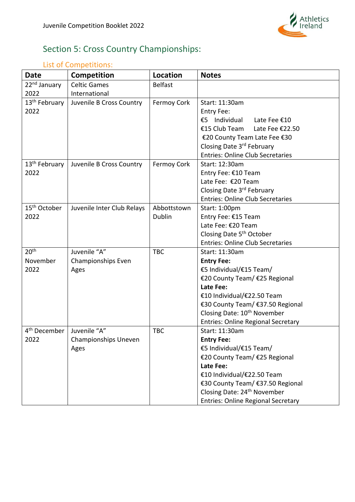

# <span id="page-38-0"></span>Section 5: Cross Country Championships:

# <span id="page-38-1"></span>List of Competitions:

| <b>Date</b>               | <b>Competition</b>         | Location       | <b>Notes</b>                              |
|---------------------------|----------------------------|----------------|-------------------------------------------|
| 22 <sup>nd</sup> January  | <b>Celtic Games</b>        | <b>Belfast</b> |                                           |
| 2022                      | International              |                |                                           |
| 13 <sup>th</sup> February | Juvenile B Cross Country   | Fermoy Cork    | Start: 11:30am                            |
| 2022                      |                            |                | Entry Fee:                                |
|                           |                            |                | €5 Individual<br>Late Fee €10             |
|                           |                            |                | €15 Club Team<br>Late Fee €22.50          |
|                           |                            |                | €20 County Team Late Fee €30              |
|                           |                            |                | Closing Date 3rd February                 |
|                           |                            |                | <b>Entries: Online Club Secretaries</b>   |
| 13 <sup>th</sup> February | Juvenile B Cross Country   | Fermoy Cork    | Start: 12:30am                            |
| 2022                      |                            |                | Entry Fee: €10 Team                       |
|                           |                            |                | Late Fee: €20 Team                        |
|                           |                            |                | Closing Date 3rd February                 |
|                           |                            |                | <b>Entries: Online Club Secretaries</b>   |
| 15 <sup>th</sup> October  | Juvenile Inter Club Relays | Abbottstown    | Start: 1:00pm                             |
| 2022                      |                            | <b>Dublin</b>  | Entry Fee: €15 Team                       |
|                           |                            |                | Late Fee: €20 Team                        |
|                           |                            |                | Closing Date 5 <sup>th</sup> October      |
|                           |                            |                | <b>Entries: Online Club Secretaries</b>   |
| 20 <sup>th</sup>          | Juvenile "A"               | <b>TBC</b>     | Start: 11:30am                            |
| November                  | Championships Even         |                | <b>Entry Fee:</b>                         |
| 2022                      | Ages                       |                | €5 Individual/€15 Team/                   |
|                           |                            |                | €20 County Team/ €25 Regional             |
|                           |                            |                | Late Fee:                                 |
|                           |                            |                | €10 Individual/€22.50 Team                |
|                           |                            |                | €30 County Team/ €37.50 Regional          |
|                           |                            |                | Closing Date: 10 <sup>th</sup> November   |
|                           |                            |                | <b>Entries: Online Regional Secretary</b> |
| 4 <sup>th</sup> December  | Juvenile "A"               | <b>TBC</b>     | Start: 11:30am                            |
| 2022                      | Championships Uneven       |                | <b>Entry Fee:</b>                         |
|                           | Ages                       |                | €5 Individual/€15 Team/                   |
|                           |                            |                | €20 County Team/ €25 Regional             |
|                           |                            |                | Late Fee:                                 |
|                           |                            |                | €10 Individual/€22.50 Team                |
|                           |                            |                | €30 County Team/ €37.50 Regional          |
|                           |                            |                | Closing Date: 24 <sup>th</sup> November   |
|                           |                            |                | <b>Entries: Online Regional Secretary</b> |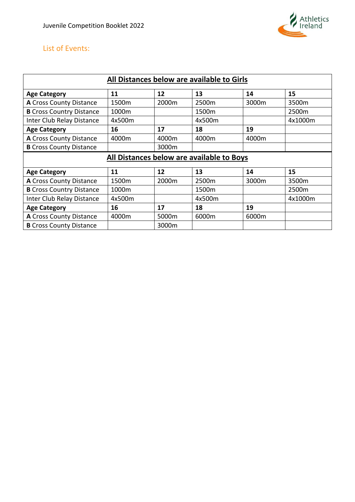

## <span id="page-39-0"></span>List of Events:

| All Distances below are available to Girls |        |       |        |       |         |  |
|--------------------------------------------|--------|-------|--------|-------|---------|--|
| <b>Age Category</b>                        | 11     | 12    | 13     | 14    | 15      |  |
| A Cross County Distance                    | 1500m  | 2000m | 2500m  | 3000m | 3500m   |  |
| <b>B</b> Cross Country Distance            | 1000m  |       | 1500m  |       | 2500m   |  |
| Inter Club Relay Distance                  | 4x500m |       | 4x500m |       | 4x1000m |  |
| <b>Age Category</b>                        | 16     | 17    | 18     | 19    |         |  |
| A Cross County Distance                    | 4000m  | 4000m | 4000m  | 4000m |         |  |
| <b>B</b> Cross County Distance             |        | 3000m |        |       |         |  |
| All Distances below are available to Boys  |        |       |        |       |         |  |
|                                            |        |       |        |       |         |  |
| <b>Age Category</b>                        | 11     | 12    | 13     | 14    | 15      |  |
| A Cross County Distance                    | 1500m  | 2000m | 2500m  | 3000m | 3500m   |  |
| <b>B</b> Cross Country Distance            | 1000m  |       | 1500m  |       | 2500m   |  |
| Inter Club Relay Distance                  | 4x500m |       | 4x500m |       | 4x1000m |  |
| <b>Age Category</b>                        | 16     | 17    | 18     | 19    |         |  |
| A Cross County Distance                    | 4000m  | 5000m | 6000m  | 6000m |         |  |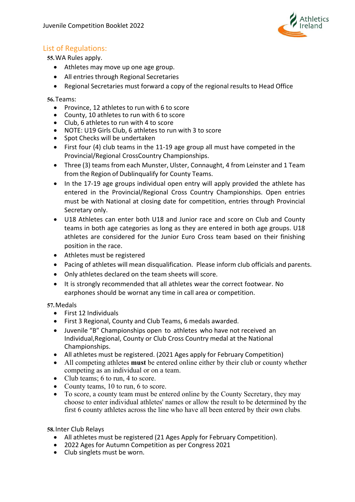

#### <span id="page-40-0"></span>List of Regulations:

**55.**WA Rules apply.

- Athletes may move up one age group.
- All entries through Regional Secretaries
- Regional Secretaries must forward a copy of the regional results to Head Office

**56.**Teams:

- Province, 12 athletes to run with 6 to score
- County, 10 athletes to run with 6 to score
- Club, 6 athletes to run with 4 to score
- NOTE: U19 Girls Club, 6 athletes to run with 3 to score
- Spot Checks will be undertaken
- First four (4) club teams in the 11-19 age group all must have competed in the Provincial/Regional CrossCountry Championships.
- Three (3) teams from each Munster, Ulster, Connaught, 4 from Leinster and 1 Team from the Region of Dublinqualify for County Teams.
- In the 17-19 age groups individual open entry will apply provided the athlete has entered in the Provincial/Regional Cross Country Championships. Open entries must be with National at closing date for competition, entries through Provincial Secretary only.
- U18 Athletes can enter both U18 and Junior race and score on Club and County teams in both age categories as long as they are entered in both age groups. U18 athletes are considered for the Junior Euro Cross team based on their finishing position in the race.
- Athletes must be registered
- Pacing of athletes will mean disqualification. Please inform club officials and parents.
- Only athletes declared on the team sheets will score.
- It is strongly recommended that all athletes wear the correct footwear. No earphones should be wornat any time in call area or competition.

#### **57.**Medals

- First 12 Individuals
- First 3 Regional, County and Club Teams, 6 medals awarded.
- Juvenile "B" Championships open to athletes who have not received an Individual,Regional, County or Club Cross Country medal at the National Championships.
- All athletes must be registered. (2021 Ages apply for February Competition)
- All competing athletes **must** be entered online either by their club or county whether competing as an individual or on a team.
- Club teams; 6 to run, 4 to score.
- County teams, 10 to run, 6 to score.
- To score, a county team must be entered online by the County Secretary, they may choose to enter individual athletes' names or allow the result to be determined by the first 6 county athletes across the line who have all been entered by their own clubs.

**58.**Inter Club Relays

- All athletes must be registered (21 Ages Apply for February Competition).
- 2022 Ages for Autumn Competition as per Congress 2021
- Club singlets must be worn.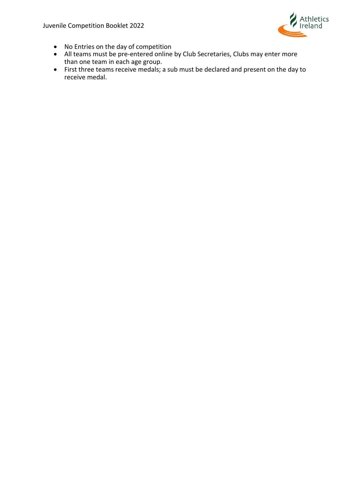Juvenile Competition Booklet 2022



- No Entries on the day of competition
- All teams must be pre-entered online by Club Secretaries, Clubs may enter more than one team in each age group.
- First three teams receive medals; a sub must be declared and present on the day to receive medal.